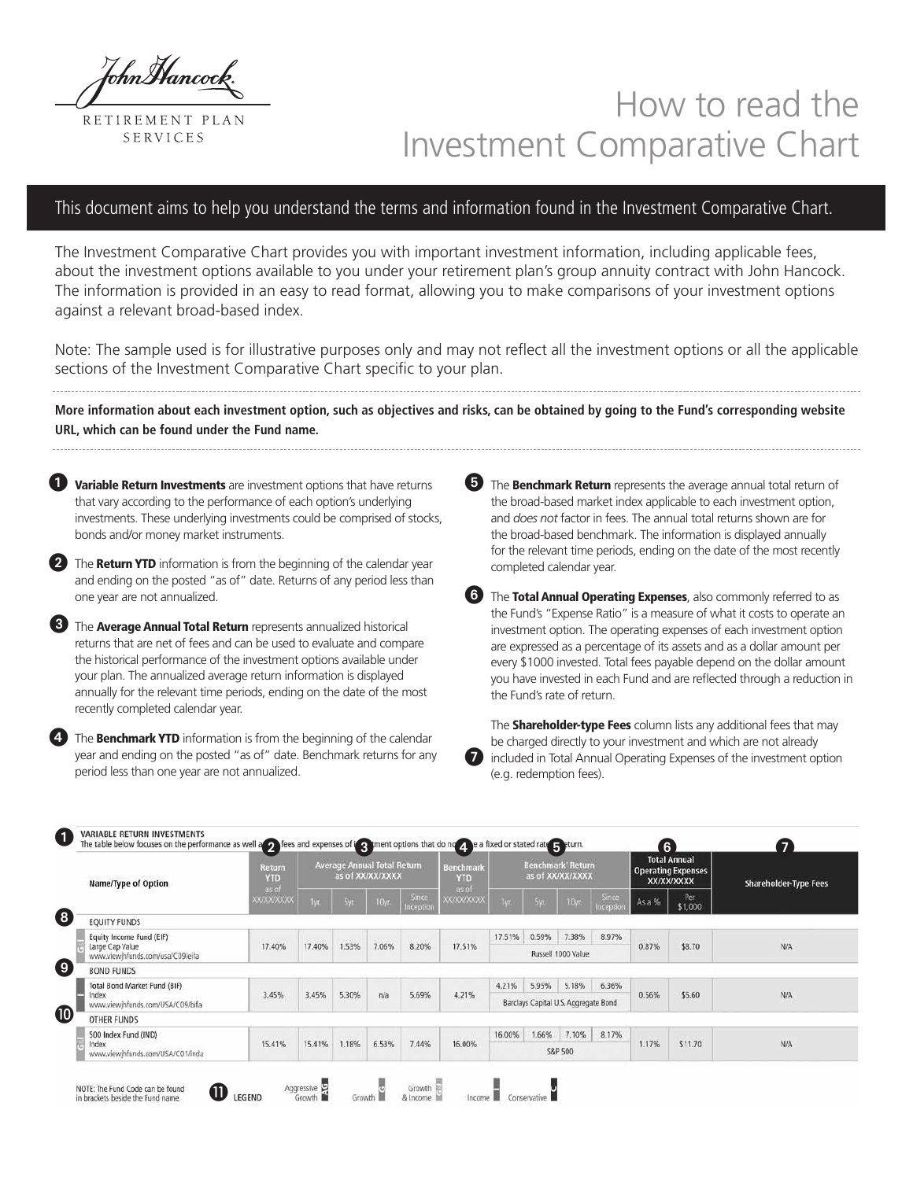ThnMancoci

RETIREMENT PLAN SERVICES

# How to read the Investment Comparative Chart

# This document aims to help you understand the terms and information found in the Investment Comparative Chart.

The Investment Comparative Chart provides you with important investment information, including applicable fees, about the investment options available to you under your retirement plan's group annuity contract with John Hancock. The information is provided in an easy to read format, allowing you to make comparisons of your investment options against a relevant broad-based index.

Note: The sample used is for illustrative purposes only and may not reflect all the investment options or all the applicable sections of the Investment Comparative Chart specific to your plan.

**More information about each investment option, such as objectives and risks, can be obtained by going to the Fund's corresponding website URL, which can be found under the Fund name.**

**Variable Return Investments** are investment options that have returns that vary according to the performance of each option's underlying investments. These underlying investments could be comprised of stocks, bonds and/or money market instruments.  $\mathbf 0$ 

The Return YTD information is from the beginning of the calendar year and ending on the posted "as of" date. Returns of any period less than one year are not annualized.

**3** The **Average Annual Total Return** represents annualized historical returns that are net of fees and can be used to evaluate and compare the historical performance of the investment options available under your plan. The annualized average return information is displayed annually for the relevant time periods, ending on the date of the most recently completed calendar year.

The **Benchmark YTD** information is from the beginning of the calendar year and ending on the posted "as of" date. Benchmark returns for any period less than one year are not annualized.

The **Benchmark Return** represents the average annual total return of the broad-based market index applicable to each investment option, and *does not* factor in fees. The annual total returns shown are for the broad-based benchmark. The information is displayed annually for the relevant time periods, ending on the date of the most recently completed calendar year.

The Total Annual Operating Expenses, also commonly referred to as the Fund's "Expense Ratio" is a measure of what it costs to operate an investment option. The operating expenses of each investment option are expressed as a percentage of its assets and as a dollar amount per every \$1000 invested. Total fees payable depend on the dollar amount you have invested in each Fund and are reflected through a reduction in the Fund's rate of return.

The **Shareholder-type Fees** column lists any additional fees that may be charged directly to your investment and which are not already included in Total Annual Operating Expenses of the investment option (e.g. redemption fees).  $\boldsymbol{Q}$ 

| Name/Type of Option                                 | Return<br>YTD<br>as of |        |       | <b>Average Annual Total Return</b><br>as of XX/XX/XXXX |                            | <b>Benchmark</b><br>YTD<br>as of |        |         | <b>Benchmark' Return</b><br>as of XX/XX/XXXX |                    |        | <b>Total Annual</b><br><b>Operating Expenses</b><br>XX/XX/XXXX | <b>Shareholder-Type Fees</b> |
|-----------------------------------------------------|------------------------|--------|-------|--------------------------------------------------------|----------------------------|----------------------------------|--------|---------|----------------------------------------------|--------------------|--------|----------------------------------------------------------------|------------------------------|
|                                                     | <b>XXXXXXXXX</b>       | ivr.   | 5yr.  | 10yr                                                   | <b>Since</b><br>Inception  | <b>XX/XX/XXXXX</b>               | Tyr.   | 5yr.    | 10yr.                                        | Since<br>Inception | As a % | Per<br>\$1,000                                                 |                              |
| <b>EQUITY FUNDS</b>                                 |                        |        |       |                                                        |                            |                                  |        |         |                                              |                    |        |                                                                |                              |
| Equity Income Fund (EIF)                            |                        |        |       |                                                        |                            |                                  | 17.51% | 0.59%   | 7:38%                                        | 8.97%              |        |                                                                |                              |
| Large Cap Value<br>www.viewihfunds.com/usa/C09/eifa | 17.40%                 | 17.40% | 1.53% | 7.06%                                                  | 8.20%                      | 17.51%                           |        |         | Russell 1000 Value                           |                    | 0.87%  | \$8.70                                                         | N/A                          |
| <b>BOND FUNDS</b>                                   |                        |        |       |                                                        |                            |                                  |        |         |                                              |                    |        |                                                                |                              |
| Total Bond Market Fund (BIF)                        |                        |        |       |                                                        |                            |                                  | 4.21%  | 5.95%   | 5.18%                                        | 6.36%              |        |                                                                |                              |
| Index<br>www.viewihfunds.com/USA/C09/bifa           | 3.45%                  | 3.45%  | 5.30% | n/a                                                    | 5.69%                      | 4.21%                            |        |         | Barclays Capital U.S. Aggregate Bond         |                    | 0.56%  | \$5.60                                                         | N/A                          |
| <b>OTHER FUNDS</b>                                  |                        |        |       |                                                        |                            |                                  |        |         |                                              |                    |        |                                                                |                              |
| 500 Index Fund (IND)                                |                        |        |       |                                                        |                            |                                  | 16.00% | 1.66%   | 7.10%                                        | 8.17%              |        |                                                                |                              |
| Index<br>www.viewjhfunds.com/USA/C01/inda           | 15.41%                 | 15.41% | 1.18% | 6.53%                                                  | 7.44%<br>16.00%<br>S&P 500 |                                  | 1.17%  | \$11.70 | <b>N/A</b>                                   |                    |        |                                                                |                              |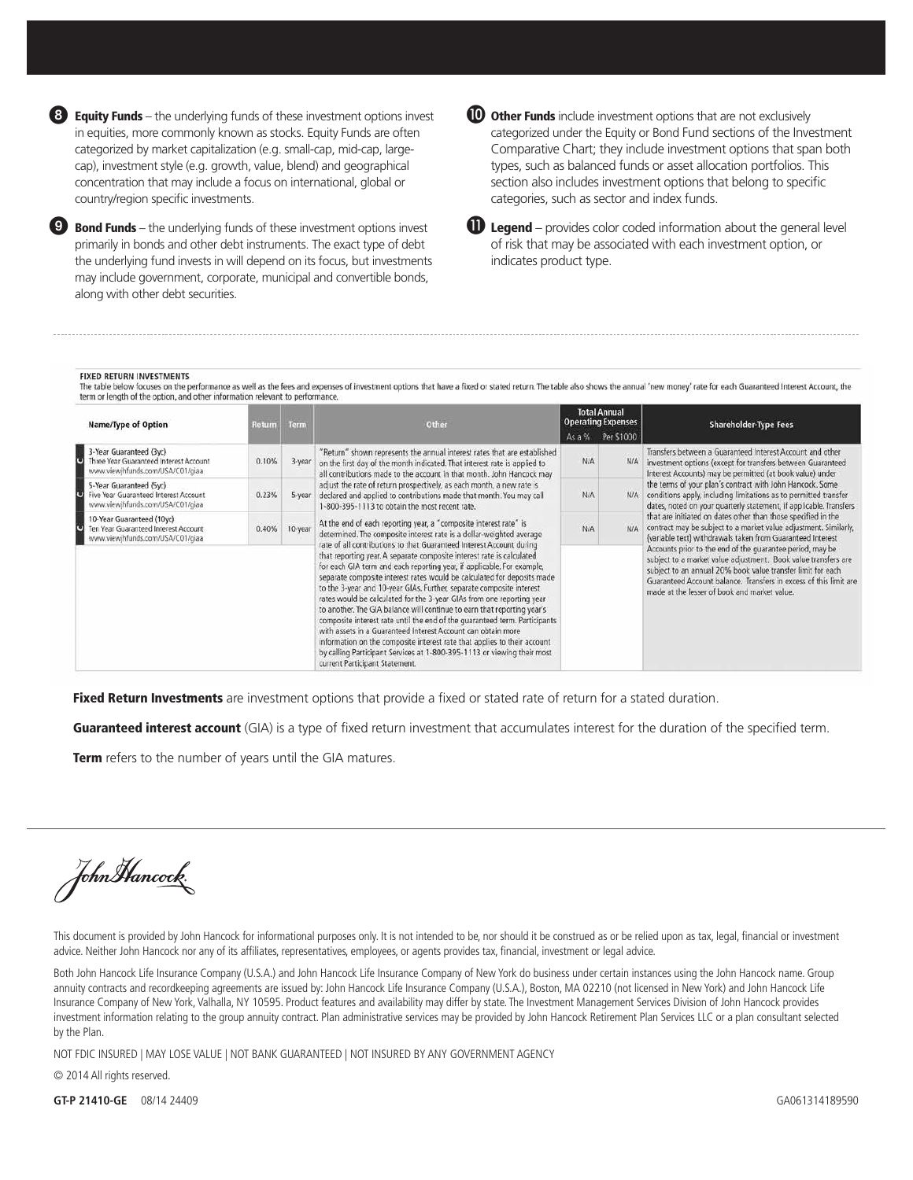Equity Funds – the underlying funds of these investment options invest 8in equities, more commonly known as stocks. Equity Funds are often categorized by market capitalization (e.g. small-cap, mid-cap, largecap), investment style (e.g. growth, value, blend) and geographical concentration that may include a focus on international, global or country/region specific investments.

 $\bullet$  Bond Funds – the underlying funds of these investment options invest  $\bullet$ primarily in bonds and other debt instruments. The exact type of debt the underlying fund invests in will depend on its focus, but investments may include government, corporate, municipal and convertible bonds, along with other debt securities.

| × | ۰. |
|---|----|
|---|----|

ther Funds include investment options that are not exclusively categorized under the Equity or Bond Fund sections of the Investment Comparative Chart; they include investment options that span both types, such as balanced funds or asset allocation portfolios. This section also includes investment options that belong to specific categories, such as sector and index funds.

| <b>Legend</b> – provides color coded information about the general level |
|--------------------------------------------------------------------------|
| of risk that may be associated with each investment option, or           |
| indicates product type.                                                  |

#### **FIXED RETURN INVESTMENTS**

The table below focuses on the performance as well as the fees and expenses of investment options that have a fixed or stated return. The table also shows the annual 'new money' rate for each Guaranteed Interest Account, t term or length of the option, and other information relevant to performance.

|   | Name/Type of Option                                                                                   | Term<br>Return<br>Other |                                                                                                                                                                                                                                                                                                                                                                                                                                                                                                                                                                                                                                                                             |                                                                                                                                                                                                                                | As $a\%$                                                                                                                                                                                                                                                                                                                            | <b>Total Annual</b><br><b>Operating Expenses</b><br>Per \$1000                                                                                                                                                                                                                                                                                                                                                                                                                                                     | Shareholder-Type Fees                                                                                                                                                                               |
|---|-------------------------------------------------------------------------------------------------------|-------------------------|-----------------------------------------------------------------------------------------------------------------------------------------------------------------------------------------------------------------------------------------------------------------------------------------------------------------------------------------------------------------------------------------------------------------------------------------------------------------------------------------------------------------------------------------------------------------------------------------------------------------------------------------------------------------------------|--------------------------------------------------------------------------------------------------------------------------------------------------------------------------------------------------------------------------------|-------------------------------------------------------------------------------------------------------------------------------------------------------------------------------------------------------------------------------------------------------------------------------------------------------------------------------------|--------------------------------------------------------------------------------------------------------------------------------------------------------------------------------------------------------------------------------------------------------------------------------------------------------------------------------------------------------------------------------------------------------------------------------------------------------------------------------------------------------------------|-----------------------------------------------------------------------------------------------------------------------------------------------------------------------------------------------------|
|   | 3-Year Guaranteed (3yc)<br>Three Year Guaranteed Interest Account<br>www.viewjhfunds.com/USA/C01/giaa | 0.10%                   | 3-year                                                                                                                                                                                                                                                                                                                                                                                                                                                                                                                                                                                                                                                                      | "Return" shown represents the annual interest rates that are established<br>on the first day of the month indicated. That interest rate is applied to<br>all contributions made to the account in that month. John Hancock may | <b>N/A</b>                                                                                                                                                                                                                                                                                                                          | <b>N/A</b>                                                                                                                                                                                                                                                                                                                                                                                                                                                                                                         | Transfers between a Guaranteed Interest Account and other<br>investment options (except for transfers between Guaranteed<br>Interest Accounts) may be permitted (at book value) under               |
|   | 5-Year Guaranteed (5yc)<br>Five Year Guaranteed Interest Account<br>www.viewjhfunds.com/USA/C01/giaa  | 0.23%                   | 5-year                                                                                                                                                                                                                                                                                                                                                                                                                                                                                                                                                                                                                                                                      | adjust the rate of return prospectively, as each month, a new rate is<br>declared and applied to contributions made that month. You may call<br>1-800-395-1113 to obtain the most recent rate.                                 | N/A                                                                                                                                                                                                                                                                                                                                 | <b>N/A</b>                                                                                                                                                                                                                                                                                                                                                                                                                                                                                                         | the terms of your plan's contract with John Hancock. Some<br>conditions apply, including limitations as to permitted transfer<br>dates, noted on your quarterly statement, if applicable. Transfers |
| υ | 10-Year Guaranteed (10yc)<br>Ten Year Guaranteed Interest Account<br>www.viewihfunds.com/USA/C01/giaa | 0.40%<br>10-year        | At the end of each reporting year, a "composite interest rate" is<br>determined. The composite interest rate is a dollar-weighted average<br>rate of all contributions to that Guaranteed Interest Account during<br>that reporting year. A separate composite interest rate is calculated<br>for each GIA term and each reporting year, if applicable. For example,<br>separate composite interest rates would be calculated for deposits made<br>to the 3-year and 10-year GIAs. Further, separate composite interest<br>rates would be calculated for the 3-year GIAs from one reporting year<br>to another. The GIA balance will continue to earn that reporting year's | N/A                                                                                                                                                                                                                            | N/A                                                                                                                                                                                                                                                                                                                                 | that are initiated on dates other than those specified in the<br>contract may be subject to a market value adjustment. Similarly,<br>(variable text) withdrawals taken from Guaranteed Interest<br>Accounts prior to the end of the quarantee period, may be<br>subject to a market value adjustment. Book value transfers are<br>subject to an annual 20% book value transfer limit for each<br>Guaranteed Account balance. Transfers in excess of this limit are<br>made at the lesser of book and market value. |                                                                                                                                                                                                     |
|   |                                                                                                       |                         |                                                                                                                                                                                                                                                                                                                                                                                                                                                                                                                                                                                                                                                                             |                                                                                                                                                                                                                                | composite interest rate until the end of the quaranteed term. Participants<br>with assets in a Guaranteed Interest Account can obtain more<br>information on the composite interest rate that applies to their account<br>by calling Participant Services at 1-800-395-1113 or viewing their most<br>current Participant Statement. |                                                                                                                                                                                                                                                                                                                                                                                                                                                                                                                    |                                                                                                                                                                                                     |

Fixed Return Investments are investment options that provide a fixed or stated rate of return for a stated duration.

Guaranteed interest account (GIA) is a type of fixed return investment that accumulates interest for the duration of the specified term.

**Term** refers to the number of years until the GIA matures.

John Hancock

This document is provided by John Hancock for informational purposes only. It is not intended to be, nor should it be construed as or be relied upon as tax, legal, financial or investment advice. Neither John Hancock nor any of its affiliates, representatives, employees, or agents provides tax, financial, investment or legal advice.

Both John Hancock Life Insurance Company (U.S.A.) and John Hancock Life Insurance Company of New York do business under certain instances using the John Hancock name. Group annuity contracts and recordkeeping agreements are issued by: John Hancock Life Insurance Company (U.S.A.), Boston, MA 02210 (not licensed in New York) and John Hancock Life Insurance Company of New York, Valhalla, NY 10595. Product features and availability may differ by state. The Investment Management Services Division of John Hancock provides investment information relating to the group annuity contract. Plan administrative services may be provided by John Hancock Retirement Plan Services LLC or a plan consultant selected by the Plan.

NOT FDIC INSURED | MAY LOSE VALUE | NOT BANK GUARANTEED | NOT INSURED BY ANY GOVERNMENT AGENCY

© 2014 All rights reserved.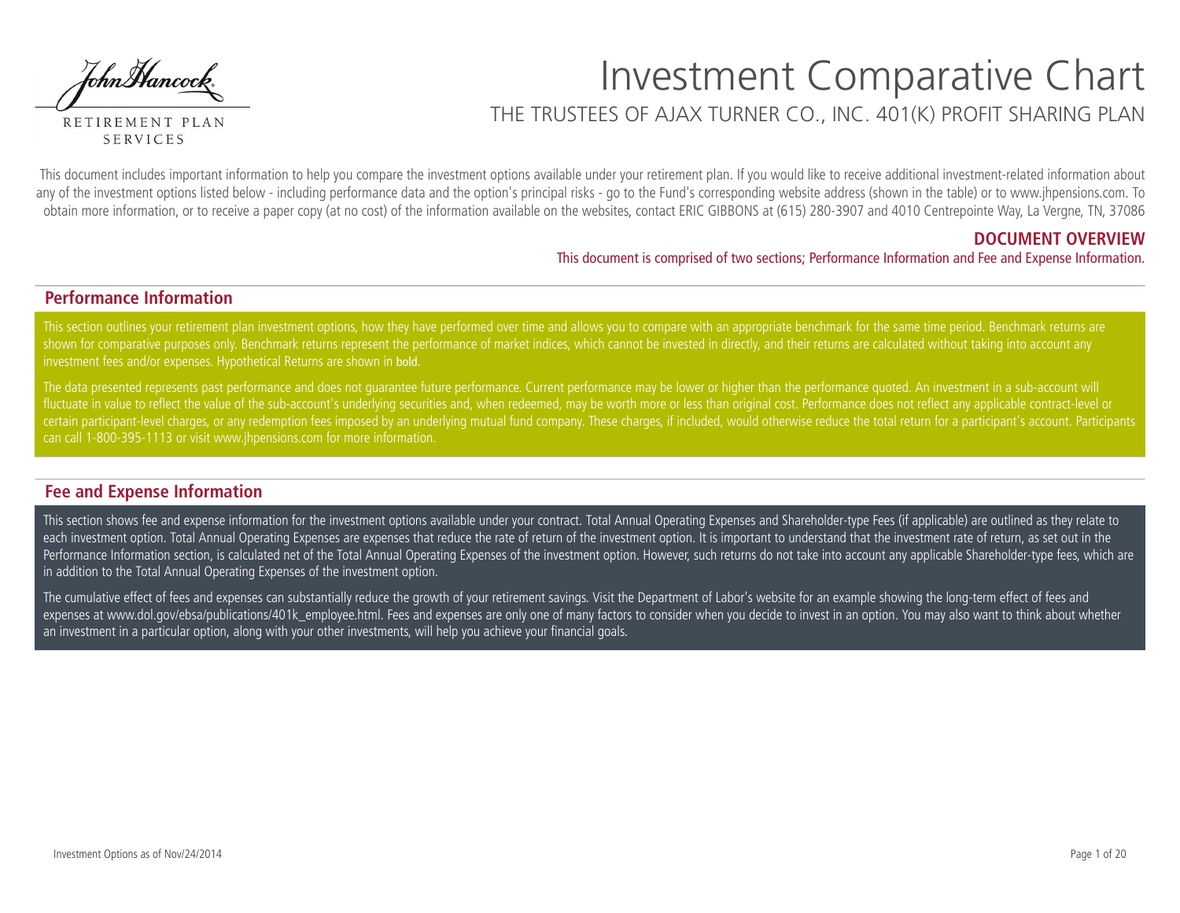JohnHancock.

RETIREMENT PLAN **SERVICES** 

# Investment Comparative Chart THE TRUSTEES OF AJAX TURNER CO., INC. 401(K) PROFIT SHARING PLAN

This document includes important information to help you compare the investment options available under your retirement plan. If you would like to receive additional investment-related information about any of the investment options listed below - including performance data and the option's principal risks - go to the Fund's corresponding website address (shown in the table) or to www.jhpensions.com. To obtain more information, or to receive a paper copy (at no cost) of the information available on the websites, contact ERIC GIBBONS at (615) 280-3907 and 4010 Centrepointe Way, La Vergne, TN, 37086

## **DOCUMENT OVERVIEW**

This document is comprised of two sections; Performance Information and Fee and Expense Information.

## **Performance Information**

This section outlines your retirement plan investment options, how they have performed over time and allows you to compare with an appropriate benchmark for the same time period. Benchmark returns are shown for comparative purposes only. Benchmark returns represent the performance of market indices, which cannot be invested in directly, and their returns are calculated without taking into account any investment fees and/or expenses. Hypothetical Returns are shown in bold.

The data presented represents past performance and does not guarantee future performance. Current performance may be lower or higher than the performance quoted. An investment in a sub-account will fluctuate in value to reflect the value of the sub-account's underlying securities and, when redeemed, may be worth more or less than original cost. Performance does not reflect any applicable contract-level or certain participant-level charges, or any redemption fees imposed by an underlying mutual fund company. These charges, if included, would otherwise reduce the total return for a participant's account. Participants can call 1-800-395-1113 or visit www.jhpensions.com for more information.

## **Fee and Expense Information**

This section shows fee and expense information for the investment options available under your contract. Total Annual Operating Expenses and Shareholder-type Fees (if applicable) are outlined as they relate to each investment option. Total Annual Operating Expenses are expenses that reduce the rate of return of the investment option. It is important to understand that the investment rate of return, as set out in the Performance Information section, is calculated net of the Total Annual Operating Expenses of the investment option. However, such returns do not take into account any applicable Shareholder-type fees, which are in addition to the Total Annual Operating Expenses of the investment option.

The cumulative effect of fees and expenses can substantially reduce the growth of your retirement savings. Visit the Department of Labor's website for an example showing the long-term effect of fees and expenses at www.dol.gov/ebsa/publications/401k employee.html. Fees and expenses are only one of many factors to consider when you decide to invest in an option. You may also want to think about whether an investment in a particular option, along with your other investments, will help you achieve your financial goals.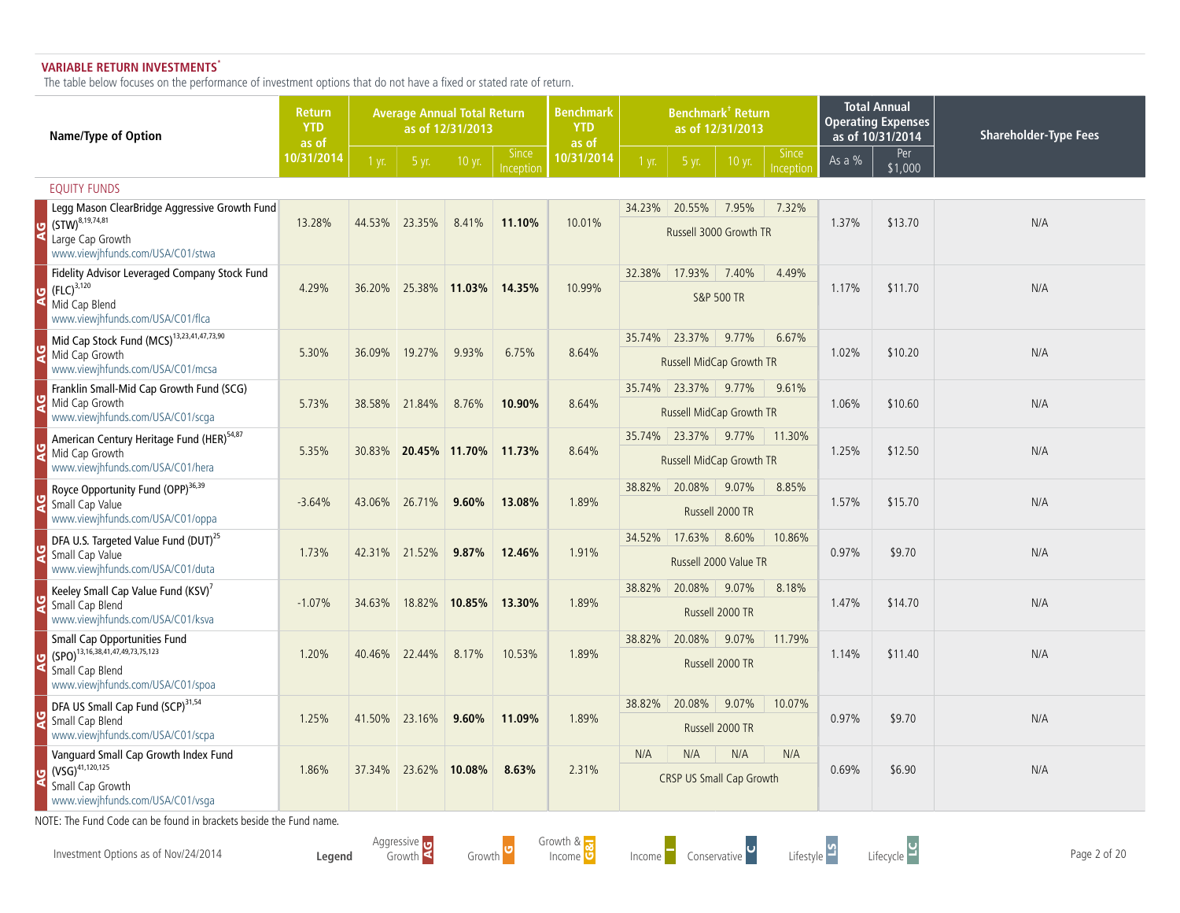### **VARIABLE RETURN INVESTMENTS\***

The table below focuses on the performance of investment options that do not have a fixed or stated rate of return.

| Name/Type of Option                                                                               | <b>Return</b><br><b>YTD</b><br>as of |        |               | <b>Average Annual Total Return</b><br>as of 12/31/2013 |                           | <b>Benchmark<sup>†</sup> Return</b><br><b>Benchmark</b><br><b>YTD</b><br>as of 12/31/2013<br>as of<br><b>Since</b> |        |                                                      |                          | <b>Total Annual</b><br><b>Operating Expenses</b><br>as of 10/31/2014 | <b>Shareholder-Type Fees</b> |                |     |
|---------------------------------------------------------------------------------------------------|--------------------------------------|--------|---------------|--------------------------------------------------------|---------------------------|--------------------------------------------------------------------------------------------------------------------|--------|------------------------------------------------------|--------------------------|----------------------------------------------------------------------|------------------------------|----------------|-----|
|                                                                                                   | 10/31/2014                           | 1 yr.  | 5 yr.         | 10 yr.                                                 | <b>Since</b><br>Inception | 10/31/2014                                                                                                         | 1 yr.  | 5 yr.                                                | 10 yr.                   | Inceptior                                                            | As a %                       | Per<br>\$1,000 |     |
| <b>EQUITY FUNDS</b>                                                                               |                                      |        |               |                                                        |                           |                                                                                                                    |        |                                                      |                          |                                                                      |                              |                |     |
| Legg Mason ClearBridge Aggressive Growth Fund                                                     |                                      |        |               |                                                        |                           |                                                                                                                    | 34.23% | 20.55%                                               | 7.95%                    | 7.32%                                                                |                              |                |     |
| $(STW)^{8,19,74,81}$<br>Large Cap Growth<br>www.viewjhfunds.com/USA/C01/stwa                      | 13.28%                               |        | 44.53% 23.35% | 8.41%                                                  | 11.10%                    | 10.01%                                                                                                             |        | Russell 3000 Growth TR                               |                          |                                                                      | 1.37%                        | \$13.70        | N/A |
| Fidelity Advisor Leveraged Company Stock Fund<br>$(FLC)^{3,120}$                                  | 4.29%                                | 36.20% |               | 25.38% 11.03%                                          | 14.35%                    | 10.99%                                                                                                             | 32.38% | 17.93%                                               | 7.40%                    | 4.49%                                                                | 1.17%                        | \$11.70        | N/A |
| Mid Cap Blend<br>www.viewjhfunds.com/USA/C01/flca                                                 |                                      |        |               |                                                        |                           |                                                                                                                    |        | <b>S&amp;P 500 TR</b>                                |                          |                                                                      |                              |                |     |
| Mid Cap Stock Fund (MCS) <sup>13,23,41,47,73,90</sup>                                             |                                      |        |               |                                                        |                           |                                                                                                                    |        | 35.74% 23.37%<br>9.77%<br>6.67%                      |                          |                                                                      |                              |                |     |
| Mid Cap Growth<br>www.viewjhfunds.com/USA/C01/mcsa                                                | 5.30%                                | 36.09% | 19.27%        | 9.93%                                                  | 6.75%                     | 8.64%                                                                                                              |        |                                                      | Russell MidCap Growth TR |                                                                      | 1.02%                        | \$10.20        | N/A |
| Franklin Small-Mid Cap Growth Fund (SCG)                                                          |                                      |        |               |                                                        |                           |                                                                                                                    | 35.74% | 23.37%<br>9.77%<br>9.61%<br>Russell MidCap Growth TR |                          |                                                                      |                              |                |     |
| Mid Cap Growth<br>www.viewjhfunds.com/USA/C01/scga                                                | 5.73%                                | 38.58% | 21.84%        | 8.76%                                                  | 10.90%                    | 8.64%                                                                                                              |        |                                                      |                          | 1.06%                                                                | \$10.60                      | N/A            |     |
| American Century Heritage Fund (HER) <sup>54,87</sup>                                             |                                      |        |               |                                                        |                           |                                                                                                                    |        | 35.74% 23.37% 9.77%                                  |                          | 11.30%                                                               |                              |                |     |
| Mid Cap Growth<br>www.viewjhfunds.com/USA/C01/hera                                                | 5.35%                                | 30.83% |               | 20.45% 11.70%                                          | 11.73%                    | 8.64%                                                                                                              |        | Russell MidCap Growth TR                             |                          |                                                                      | 1.25%                        | \$12.50        | N/A |
| Royce Opportunity Fund (OPP) <sup>36,39</sup>                                                     |                                      |        |               |                                                        |                           |                                                                                                                    |        | 38.82% 20.08%                                        | 9.07%                    | 8.85%                                                                |                              |                |     |
| Small Cap Value<br>www.viewjhfunds.com/USA/C01/oppa                                               | $-3.64%$                             | 43.06% | 26.71%        | 9.60%                                                  | 13.08%                    | 1.89%                                                                                                              |        |                                                      | Russell 2000 TR          |                                                                      | 1.57%                        | \$15.70        | N/A |
| DFA U.S. Targeted Value Fund (DUT) <sup>25</sup>                                                  |                                      |        |               |                                                        |                           |                                                                                                                    | 34.52% | 17.63%                                               | 8.60%                    | 10.86%                                                               |                              |                |     |
| Small Cap Value<br>www.viewjhfunds.com/USA/C01/duta                                               | 1.73%                                | 42.31% | 21.52%        | 9.87%                                                  | 12.46%                    | 1.91%                                                                                                              |        |                                                      | Russell 2000 Value TR    |                                                                      | 0.97%                        | \$9.70         | N/A |
| Keeley Small Cap Value Fund (KSV) <sup>7</sup>                                                    |                                      |        |               |                                                        |                           |                                                                                                                    | 38.82% | 20.08%                                               | 9.07%                    | 8.18%                                                                |                              |                |     |
| Small Cap Blend<br>www.viewjhfunds.com/USA/C01/ksva                                               | $-1.07%$                             | 34.63% | 18.82%        | 10.85%                                                 | 13.30%                    | 1.89%                                                                                                              |        |                                                      | Russell 2000 TR          |                                                                      | 1.47%                        | \$14.70        | N/A |
| Small Cap Opportunities Fund<br>$\binom{13,16,38,41,47,49,73,75,123}{5}$                          | 1.20%                                | 40.46% | 22.44%        | 8.17%                                                  | 10.53%                    | 1.89%                                                                                                              | 38.82% | 20.08%                                               | 9.07%                    | 11.79%                                                               | 1.14%                        | \$11.40        | N/A |
| Small Cap Blend<br>www.viewjhfunds.com/USA/C01/spoa                                               |                                      |        |               |                                                        |                           |                                                                                                                    |        |                                                      | Russell 2000 TR          |                                                                      |                              |                |     |
| DFA US Small Cap Fund (SCP) <sup>31,54</sup>                                                      |                                      |        |               |                                                        |                           |                                                                                                                    | 38.82% | 20.08%                                               | 9.07%                    | 10.07%                                                               |                              |                |     |
| Small Cap Blend<br>www.viewjhfunds.com/USA/C01/scpa                                               | 1.25%                                | 41.50% | 23.16%        | 9.60%                                                  | 11.09%                    | 1.89%                                                                                                              |        |                                                      | Russell 2000 TR          |                                                                      | 0.97%                        | \$9.70         | N/A |
| Vanguard Small Cap Growth Index Fund                                                              |                                      |        |               |                                                        |                           |                                                                                                                    | N/A    | N/A                                                  | N/A                      | N/A                                                                  |                              |                |     |
| $\frac{1}{2}$ (VSG) <sup>41,120,125</sup><br>Small Cap Growth<br>www.viewjhfunds.com/USA/C01/vsga | 1.86%                                | 37.34% | 23.62%        | 10.08%                                                 | 8.63%                     | 2.31%                                                                                                              |        | <b>CRSP US Small Cap Growth</b>                      |                          |                                                                      | 0.69%                        | \$6.90         | N/A |

NOTE: The Fund Code can be found in brackets beside the Fund name.

Investment Options as of Nov/24/2014 **Page 2 of 20**<br>Income Conservative Conservative Page 2 of 20 Page 2 of 20 Page 2 of 20

**Legend** Aggressive Growth Growth **U** 

Growth & owth & <mark>...</mark><br>Income O





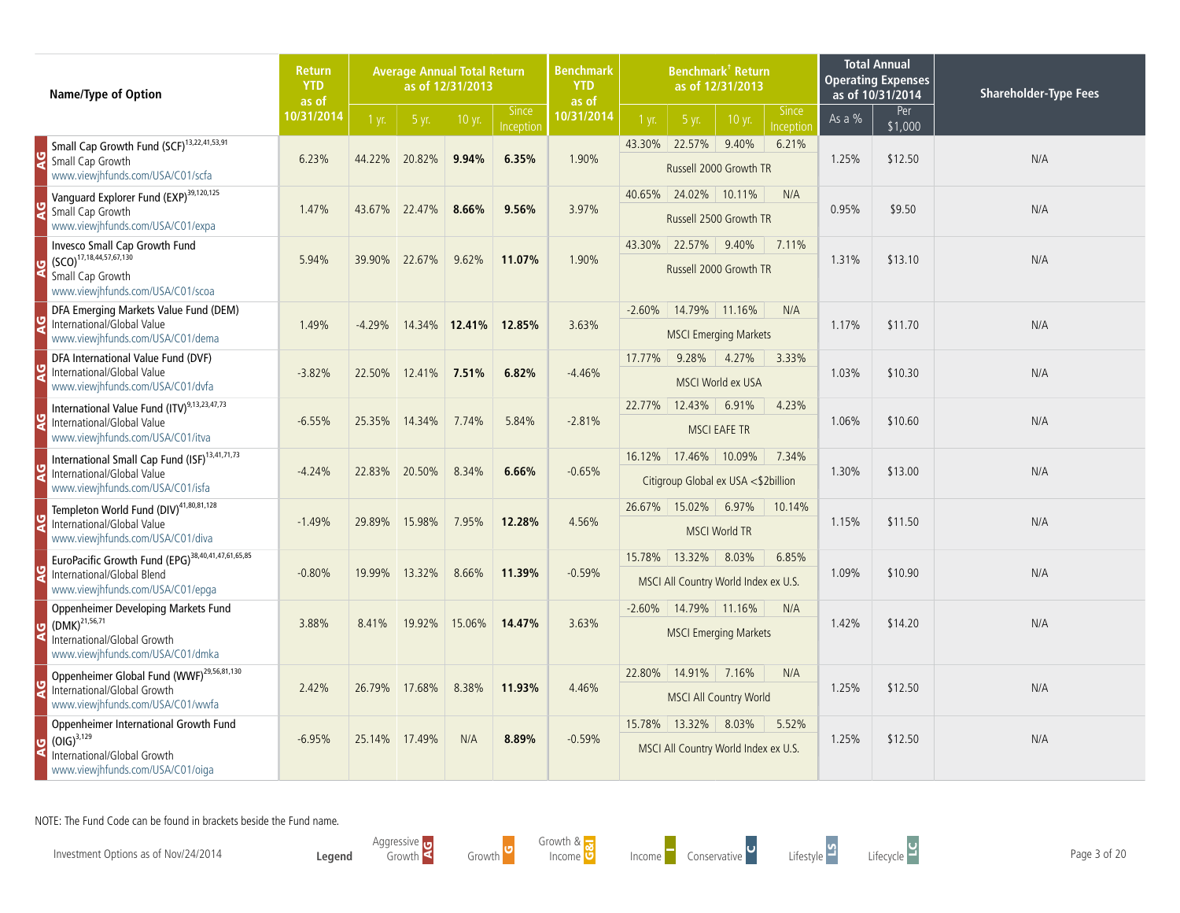| Name/Type of Option                                                                                                                       | <b>Return</b><br><b>YTD</b><br>as of |          |               | <b>Average Annual Total Return</b><br>as of 12/31/2013 |                           | Benchmark <sup>†</sup> Return<br><b>Benchmark</b><br>as of 12/31/2013<br><b>YTD</b><br>as of |                         |                               |                                               |                           |        | <b>Total Annual</b><br><b>Operating Expenses</b><br>as of 10/31/2014 | <b>Shareholder-Type Fees</b> |
|-------------------------------------------------------------------------------------------------------------------------------------------|--------------------------------------|----------|---------------|--------------------------------------------------------|---------------------------|----------------------------------------------------------------------------------------------|-------------------------|-------------------------------|-----------------------------------------------|---------------------------|--------|----------------------------------------------------------------------|------------------------------|
|                                                                                                                                           | 10/31/2014                           | $1$ yr.  | 5 yr.         | 10 yr.                                                 | <b>Since</b><br>Inception | 10/31/2014                                                                                   | $1 \text{ yr}$          | 5 yr.                         | 10 yr.                                        | <b>Since</b><br>Inception | As a % | Per<br>\$1,000                                                       |                              |
| Small Cap Growth Fund (SCF) <sup>13,22,41,53,91</sup><br>Small Cap Growth<br>www.viewjhfunds.com/USA/C01/scfa                             | 6.23%                                | 44.22%   | 20.82%        | 9.94%                                                  | 6.35%                     | 1.90%                                                                                        | 43.30% 22.57%           |                               | 9.40%<br>Russell 2000 Growth TR               | 6.21%                     | 1.25%  | \$12.50                                                              | N/A                          |
| Vanguard Explorer Fund (EXP) <sup>39,120,125</sup><br>Small Cap Growth<br>www.viewjhfunds.com/USA/C01/expa                                | 1.47%                                | 43.67%   | 22.47%        | 8.66%                                                  | 9.56%                     | 3.97%                                                                                        | 40.65%                  | 24.02%                        | 10.11%<br>Russell 2500 Growth TR              | N/A                       | 0.95%  | \$9.50                                                               | N/A                          |
| Invesco Small Cap Growth Fund<br>$\left( \text{SCO} \right)^{17,18,44,57,67,130}$<br>Small Cap Growth<br>www.viewjhfunds.com/USA/C01/scoa | 5.94%                                | 39.90%   | 22.67%        | 9.62%                                                  | 11.07%                    | 1.90%                                                                                        | 43.30%                  | 22.57%                        | 9.40%<br>Russell 2000 Growth TR               | 7.11%                     | 1.31%  | \$13.10                                                              | N/A                          |
| DFA Emerging Markets Value Fund (DEM)<br>International/Global Value<br>www.viewjhfunds.com/USA/C01/dema                                   | 1.49%                                | $-4.29%$ |               | 14.34% 12.41%                                          | 12.85%                    | 3.63%                                                                                        | $-2.60%$                | 14.79% 11.16%                 | <b>MSCI Emerging Markets</b>                  | N/A                       | 1.17%  | \$11.70                                                              | N/A                          |
| DFA International Value Fund (DVF)<br>International/Global Value<br>www.viewjhfunds.com/USA/C01/dvfa                                      | $-3.82%$                             | 22.50%   | 12.41% 7.51%  |                                                        | 6.82%                     | $-4.46%$                                                                                     | 17.77%                  | 9.28%                         | 4.27%<br>MSCI World ex USA                    | 3.33%                     | 1.03%  | \$10.30                                                              | N/A                          |
| International Value Fund (ITV) <sup>9,13,23,47,73</sup><br>International/Global Value<br>www.viewjhfunds.com/USA/C01/itva                 | $-6.55%$                             | 25.35%   | 14.34%        | 7.74%                                                  | 5.84%                     | $-2.81%$                                                                                     | 22.77%                  | 12.43%<br><b>MSCI EAFE TR</b> | 6.91%                                         | 4.23%                     | 1.06%  | \$10.60                                                              | N/A                          |
| International Small Cap Fund (ISF) <sup>13,41,71,73</sup><br>International/Global Value<br>www.viewjhfunds.com/USA/C01/isfa               | $-4.24%$                             |          | 22.83% 20.50% | 8.34%                                                  | 6.66%                     | $-0.65%$                                                                                     | 16.12% 17.46%           |                               | 10.09%<br>Citigroup Global ex USA <\$2billion | 7.34%                     | 1.30%  | \$13.00                                                              | N/A                          |
| Templeton World Fund (DIV) <sup>41,80,81,128</sup><br>International/Global Value<br>www.viewjhfunds.com/USA/C01/diva                      | $-1.49%$                             | 29.89%   | 15.98%        | 7.95%                                                  | 12.28%                    | 4.56%                                                                                        | 26.67%                  | 15.02%                        | 6.97%<br><b>MSCI World TR</b>                 | 10.14%                    | 1.15%  | \$11.50                                                              | N/A                          |
| EuroPacific Growth Fund (EPG) <sup>38,40,41,47,61,65,85</sup><br>International/Global Blend<br>www.viewjhfunds.com/USA/C01/epga           | $-0.80%$                             | 19.99%   | 13.32%        | 8.66%                                                  | 11.39%                    | $-0.59%$                                                                                     | 15.78%                  | 13.32%                        | 8.03%<br>MSCI All Country World Index ex U.S. | 6.85%                     | 1.09%  | \$10.90                                                              | N/A                          |
| <b>Oppenheimer Developing Markets Fund</b><br>$(DMK)^{21,56,71}$<br>International/Global Growth<br>www.viewjhfunds.com/USA/C01/dmka       | 3.88%                                | 8.41%    | 19.92%        | 15.06%                                                 | 14.47%                    | 3.63%                                                                                        | $-2.60\%$ 14.79% 11.16% |                               | <b>MSCI Emerging Markets</b>                  | N/A                       | 1.42%  | \$14.20                                                              | N/A                          |
| Oppenheimer Global Fund (WWF) <sup>29,56,81,130</sup><br>International/Global Growth<br>www.viewjhfunds.com/USA/C01/wwfa                  | 2.42%                                | 26.79%   | 17.68%        | 8.38%                                                  | 11.93%                    | 4.46%                                                                                        | 22.80%                  | 14.91%                        | 7.16%<br><b>MSCI All Country World</b>        | N/A                       | 1.25%  | \$12.50                                                              | N/A                          |
| Oppenheimer International Growth Fund<br>$U$ (OIG) <sup>3,129</sup><br>International/Global Growth<br>www.viewjhfunds.com/USA/C01/oiga    | $-6.95%$                             | 25.14%   | 17.49%        | N/A                                                    | 8.89%                     | $-0.59%$                                                                                     | 15.78% 13.32% 8.03%     |                               | MSCI All Country World Index ex U.S.          | 5.52%                     | 1.25%  | \$12.50                                                              | N/A                          |

Investment Options as of Nov/24/2014 **Page 3 of 20**<br>Income Conservative Conservative Lifestyle Lifestyle Lifecycle Lifestyle Lifecycle Lifecycle Page 3 of 20

**Legend** Aggressive Growth Growth <sup>G</sup>



Growth &

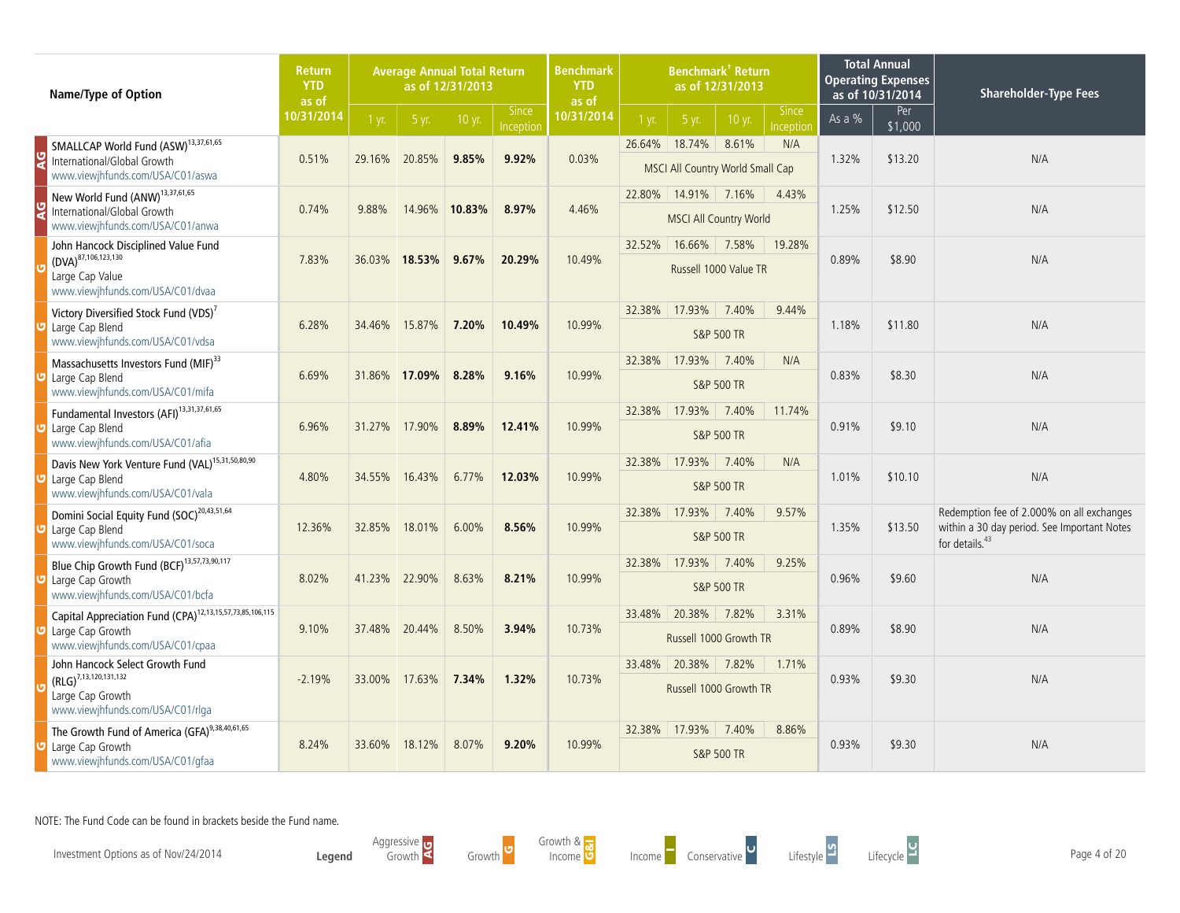| <b>Name/Type of Option</b>                                                                                                   | <b>Return</b><br><b>YTD</b><br>as of |                | <b>Average Annual Total Return</b> | as of 12/31/2013 |                           | <b>Benchmark</b><br><b>YTD</b><br>as of | Benchmark <sup>†</sup> Return<br>as of 12/31/2013<br><b>Since</b> |                                                   |                                |           | <b>Total Annual</b><br><b>Operating Expenses</b><br>as of 10/31/2014 | <b>Shareholder-Type Fees</b> |                                                                                                                        |
|------------------------------------------------------------------------------------------------------------------------------|--------------------------------------|----------------|------------------------------------|------------------|---------------------------|-----------------------------------------|-------------------------------------------------------------------|---------------------------------------------------|--------------------------------|-----------|----------------------------------------------------------------------|------------------------------|------------------------------------------------------------------------------------------------------------------------|
|                                                                                                                              | 10/31/2014                           | $1 \text{ yr}$ | 5 yr.                              | 10 yr.           | <b>Since</b><br>Inception | 10/31/2014                              | 1 yr.                                                             | 5 yr.                                             | 10 yr.                         | Inception | As a $%$                                                             | Per<br>\$1,000               |                                                                                                                        |
| SMALLCAP World Fund (ASW) <sup>13,37,61,65</sup><br>International/Global Growth<br>www.viewjhfunds.com/USA/C01/aswa          | 0.51%                                | 29.16%         | 20.85%                             | 9.85%            | 9.92%                     | 0.03%                                   |                                                                   | 26.64% 18.74%<br>MSCI All Country World Small Cap | 8.61%                          | N/A       | 1.32%                                                                | \$13.20                      | N/A                                                                                                                    |
| New World Fund (ANW) <sup>13,37,61,65</sup><br>International/Global Growth<br>www.viewjhfunds.com/USA/C01/anwa               | 0.74%                                | 9.88%          | 14.96%                             | 10.83%           | 8.97%                     | 4.46%                                   | 22.80%                                                            | 14.91%<br><b>MSCI All Country World</b>           | 7.16%                          | 4.43%     | 1.25%                                                                | \$12.50                      | N/A                                                                                                                    |
| John Hancock Disciplined Value Fund<br>$(DVA)^{87,106,123,130}$<br>Large Cap Value<br>www.viewjhfunds.com/USA/C01/dvaa       | 7.83%                                | 36.03%         | 18.53%                             | 9.67%            | 20.29%                    | 10.49%                                  | 32.52%                                                            | 16.66%                                            | 7.58%<br>Russell 1000 Value TR | 19.28%    | 0.89%                                                                | \$8.90                       | N/A                                                                                                                    |
| Victory Diversified Stock Fund (VDS) <sup>7</sup><br>Large Cap Blend<br>www.viewjhfunds.com/USA/C01/vdsa                     | 6.28%                                | 34.46%         | 15.87%                             | 7.20%            | 10.49%                    | 10.99%                                  | 32.38%                                                            | 17.93%                                            | 7.40%<br><b>S&amp;P 500 TR</b> | 9.44%     | 1.18%                                                                | \$11.80                      | N/A                                                                                                                    |
| Massachusetts Investors Fund (MIF) <sup>33</sup><br>Large Cap Blend<br>www.viewjhfunds.com/USA/C01/mifa                      | 6.69%                                | 31.86%         | 17.09%                             | 8.28%            | 9.16%                     | 10.99%                                  | 32.38%                                                            | 17.93%                                            | 7.40%<br><b>S&amp;P 500 TR</b> | N/A       | 0.83%                                                                | \$8.30                       | N/A                                                                                                                    |
| Fundamental Investors (AFI) <sup>13,31,37,61,65</sup><br>Large Cap Blend<br>www.viewjhfunds.com/USA/C01/afia                 | 6.96%                                | 31.27%         | 17.90%                             | 8.89%            | 12.41%                    | 10.99%                                  |                                                                   | 32.38% 17.93%                                     | 7.40%<br><b>S&amp;P 500 TR</b> | 11.74%    | 0.91%                                                                | \$9.10                       | N/A                                                                                                                    |
| Davis New York Venture Fund (VAL) <sup>15,31,50,80,90</sup><br>Large Cap Blend<br>www.viewjhfunds.com/USA/C01/vala           | 4.80%                                | 34.55%         | 16.43%                             | 6.77%            | 12.03%                    | 10.99%                                  | 32.38%                                                            | 17.93%                                            | 7.40%<br><b>S&amp;P 500 TR</b> | N/A       | 1.01%                                                                | \$10.10                      | N/A                                                                                                                    |
| Domini Social Equity Fund (SOC) <sup>20,43,51,64</sup><br>Large Cap Blend<br>www.viewjhfunds.com/USA/C01/soca                | 12.36%                               | 32.85%         | 18.01%                             | 6.00%            | 8.56%                     | 10.99%                                  | 32.38%                                                            | 17.93%                                            | 7.40%<br><b>S&amp;P 500 TR</b> | 9.57%     | 1.35%                                                                | \$13.50                      | Redemption fee of 2.000% on all exchanges<br>within a 30 day period. See Important Notes<br>for details. <sup>43</sup> |
| Blue Chip Growth Fund (BCF) <sup>13,57,73,90,117</sup><br>Large Cap Growth<br>www.viewjhfunds.com/USA/C01/bcfa               | 8.02%                                | 41.23%         | 22.90%                             | 8.63%            | 8.21%                     | 10.99%                                  |                                                                   | 32.38% 17.93%                                     | 7.40%<br><b>S&amp;P 500 TR</b> | 9.25%     | 0.96%                                                                | \$9.60                       | N/A                                                                                                                    |
| Capital Appreciation Fund (CPA) <sup>12,13,15,57,73,85,106,115</sup><br>Large Cap Growth<br>www.viewjhfunds.com/USA/C01/cpaa | 9.10%                                | 37.48%         | 20.44%                             | 8.50%            | 3.94%                     | 10.73%                                  |                                                                   | 33.48% 20.38%<br>Russell 1000 Growth TR           | 7.82%                          | 3.31%     | 0.89%                                                                | \$8.90                       | N/A                                                                                                                    |
| John Hancock Select Growth Fund<br>$(RLG)^{7,13,120,131,132}$<br>Large Cap Growth<br>www.viewjhfunds.com/USA/C01/rlga        | $-2.19%$                             | 33.00%         | 17.63%                             | 7.34%            | 1.32%                     | 10.73%                                  | 33.48%                                                            | 20.38%<br>Russell 1000 Growth TR                  | 7.82%                          | 1.71%     | 0.93%                                                                | \$9.30                       | N/A                                                                                                                    |
| The Growth Fund of America (GFA) <sup>9,38,40,61,65</sup><br>Large Cap Growth<br>www.viewjhfunds.com/USA/C01/gfaa            | 8.24%                                | 33.60%         | 18.12%                             | 8.07%            | 9.20%                     | 10.99%                                  | 32.38%                                                            | 17.93%                                            | 7.40%<br><b>S&amp;P 500 TR</b> | 8.86%     | 0.93%                                                                | \$9.30                       | N/A                                                                                                                    |

Investment Options as of Nov/24/2014 **Page 4 of 20**<br>Income Conservative Conservative Lifestyle Lifestyle Lifecycle Lifestyle Lifecycle Lifecycle Page 4 of 20

**Legend** Aggressive Growth Growth <sup>G</sup>



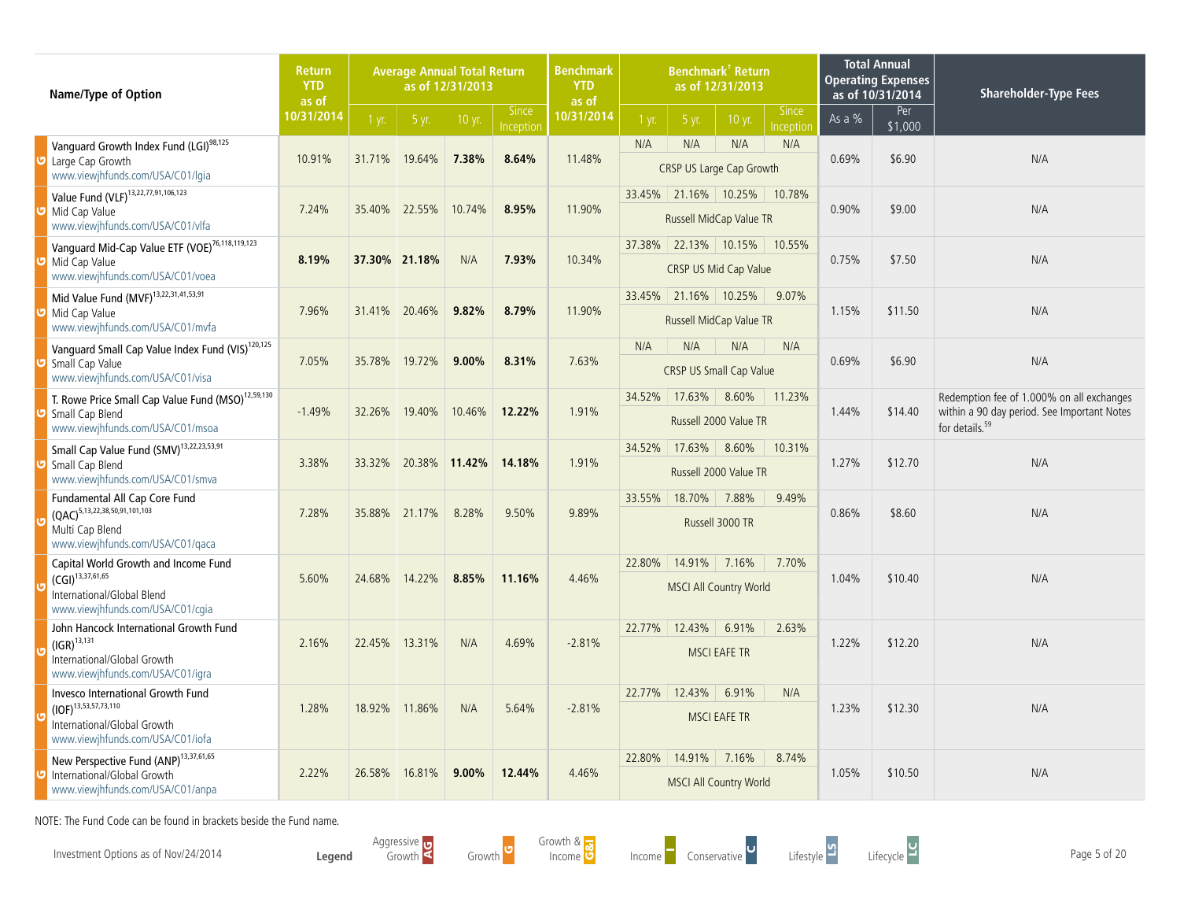| Name/Type of Option                                                                                                               | <b>Return</b><br><b>YTD</b><br>as of |                |               | <b>Average Annual Total Return</b><br>as of 12/31/2013 |                           | <b>Benchmark</b><br><b>Benchmark<sup>†</sup> Return</b><br>as of 12/31/2013<br><b>YTD</b><br>as of<br><b>Since</b> |                         |                      |                                                      | <b>Total Annual</b><br><b>Operating Expenses</b><br>as of 10/31/2014 | <b>Shareholder-Type Fees</b> |                |                                                                                                                        |
|-----------------------------------------------------------------------------------------------------------------------------------|--------------------------------------|----------------|---------------|--------------------------------------------------------|---------------------------|--------------------------------------------------------------------------------------------------------------------|-------------------------|----------------------|------------------------------------------------------|----------------------------------------------------------------------|------------------------------|----------------|------------------------------------------------------------------------------------------------------------------------|
|                                                                                                                                   | 10/31/2014                           | $1 \text{ yr}$ | 5 yr.         | 10 yr.                                                 | <b>Since</b><br>Inception | 10/31/2014                                                                                                         | 1 yr.                   | 5 yr.                | 10 yr.                                               | nception                                                             | As a %                       | Per<br>\$1,000 |                                                                                                                        |
| Vanguard Growth Index Fund (LGI) <sup>98,125</sup><br>Large Cap Growth<br>www.viewjhfunds.com/USA/C01/lgia                        | 10.91%                               | 31.71%         | 19.64%        | 7.38%                                                  | 8.64%                     | 11.48%                                                                                                             | N/A                     | N/A                  | N/A<br>CRSP US Large Cap Growth                      | N/A                                                                  | 0.69%                        | \$6.90         | N/A                                                                                                                    |
| Value Fund (VLF) <sup>13,22,77,91,106,123</sup><br>Mid Cap Value<br>www.viewjhfunds.com/USA/C01/vlfa                              | 7.24%                                | 35.40%         | 22.55%        | 10.74%                                                 | 8.95%                     | 11.90%                                                                                                             |                         |                      | 33.45% 21.16% 10.25%<br>Russell MidCap Value TR      | 10.78%                                                               | 0.90%                        | \$9.00         | N/A                                                                                                                    |
| Vanguard Mid-Cap Value ETF (VOE) <sup>76,118,119,123</sup><br>Mid Cap Value<br>www.viewjhfunds.com/USA/C01/voea                   | 8.19%                                |                | 37.30% 21.18% | N/A                                                    | 7.93%                     | 10.34%                                                                                                             |                         |                      | 37.38% 22.13% 10.15% 10.55%<br>CRSP US Mid Cap Value |                                                                      | 0.75%                        | \$7.50         | N/A                                                                                                                    |
| Mid Value Fund (MVF) <sup>13,22,31,41,53,91</sup><br>Mid Cap Value                                                                | 7.96%                                | 31.41%         | 20.46%        | 9.82%                                                  | 8.79%                     | 11.90%                                                                                                             |                         | 33.45% 21.16% 10.25% |                                                      | 9.07%                                                                | 1.15%                        | \$11.50        | N/A                                                                                                                    |
| www.viewjhfunds.com/USA/C01/mvfa                                                                                                  |                                      |                |               |                                                        |                           |                                                                                                                    | Russell MidCap Value TR |                      |                                                      |                                                                      |                              |                |                                                                                                                        |
| Vanguard Small Cap Value Index Fund (VIS) <sup>120,125</sup><br>Small Cap Value<br>www.viewjhfunds.com/USA/C01/visa               | 7.05%                                | 35.78%         | 19.72%        | $9.00\%$                                               | 8.31%                     | 7.63%                                                                                                              | N/A                     | N/A                  | N/A<br><b>CRSP US Small Cap Value</b>                | N/A                                                                  | 0.69%                        | \$6.90         | N/A                                                                                                                    |
| T. Rowe Price Small Cap Value Fund (MSO) <sup>12,59,130</sup><br>Small Cap Blend<br>www.viewjhfunds.com/USA/C01/msoa              | $-1.49%$                             | 32.26%         | 19.40%        | 10.46%                                                 | 12.22%                    | 1.91%                                                                                                              | 34.52%                  | 17.63%               | 8.60%<br>Russell 2000 Value TR                       | 11.23%                                                               | 1.44%                        | \$14.40        | Redemption fee of 1.000% on all exchanges<br>within a 90 day period. See Important Notes<br>for details. <sup>59</sup> |
| Small Cap Value Fund (SMV) <sup>13,22,23,53,91</sup><br>Small Cap Blend<br>www.viewjhfunds.com/USA/C01/smva                       | 3.38%                                | 33.32%         |               | 20.38% 11.42%                                          | 14.18%                    | 1.91%                                                                                                              | 34.52%                  | $17.63\%$            | 8.60%<br>Russell 2000 Value TR                       | 10.31%                                                               | 1.27%                        | \$12.70        | N/A                                                                                                                    |
| Fundamental All Cap Core Fund<br>$(QAC)^{5,13,22,38,50,91,101,103}$<br>Multi Cap Blend<br>www.viewjhfunds.com/USA/C01/qaca        | 7.28%                                | 35.88%         | 21.17%        | 8.28%                                                  | 9.50%                     | 9.89%                                                                                                              | 33.55%                  | 18.70%               | 7.88%<br>Russell 3000 TR                             | 9.49%                                                                | 0.86%                        | \$8.60         | N/A                                                                                                                    |
| Capital World Growth and Income Fund<br>$(GI)^{13,37,61,65}$<br>International/Global Blend<br>www.viewjhfunds.com/USA/C01/cgia    | 5.60%                                | 24.68%         | 14.22%        | 8.85%                                                  | 11.16%                    | 4.46%                                                                                                              | 22.80%                  | 14.91%               | 7.16%<br><b>MSCI All Country World</b>               | 7.70%                                                                | 1.04%                        | \$10.40        | N/A                                                                                                                    |
| John Hancock International Growth Fund<br>$(IGR)^{13,131}$<br>International/Global Growth<br>www.viewjhfunds.com/USA/C01/igra     | 2.16%                                | 22.45%         | 13.31%        | N/A                                                    | 4.69%                     | $-2.81%$                                                                                                           | 22.77%                  | 12.43%               | 6.91%<br><b>MSCI EAFE TR</b>                         | 2.63%                                                                | 1.22%                        | \$12.20        | N/A                                                                                                                    |
| Invesco International Growth Fund<br>$(IOF)^{13,53,57,73,110}$<br>International/Global Growth<br>www.viewjhfunds.com/USA/C01/iofa | 1.28%                                | 18.92%         | 11.86%        | N/A                                                    | 5.64%                     | $-2.81%$                                                                                                           | 22.77%                  | 12.43%               | 6.91%<br><b>MSCI EAFE TR</b>                         | N/A                                                                  | 1.23%                        | \$12.30        | N/A                                                                                                                    |
| New Perspective Fund (ANP) <sup>13,37,61,65</sup><br>International/Global Growth<br>www.viewjhfunds.com/USA/C01/anpa              | 2.22%                                | 26.58%         | 16.81%        | $9.00\%$                                               | 12.44%                    | 4.46%                                                                                                              |                         | 22.80% 14.91%        | 7.16%<br><b>MSCI All Country World</b>               | 8.74%                                                                | 1.05%                        | \$10.50        | N/A                                                                                                                    |

Investment Options as of Nov/24/2014 **Page 5 of 20**<br>Income Conservative Conservative Page Sof 20

**Legend** Aggressive Growth Growth <sup>G</sup>

Growth & owth & <mark>...</mark><br>Income O



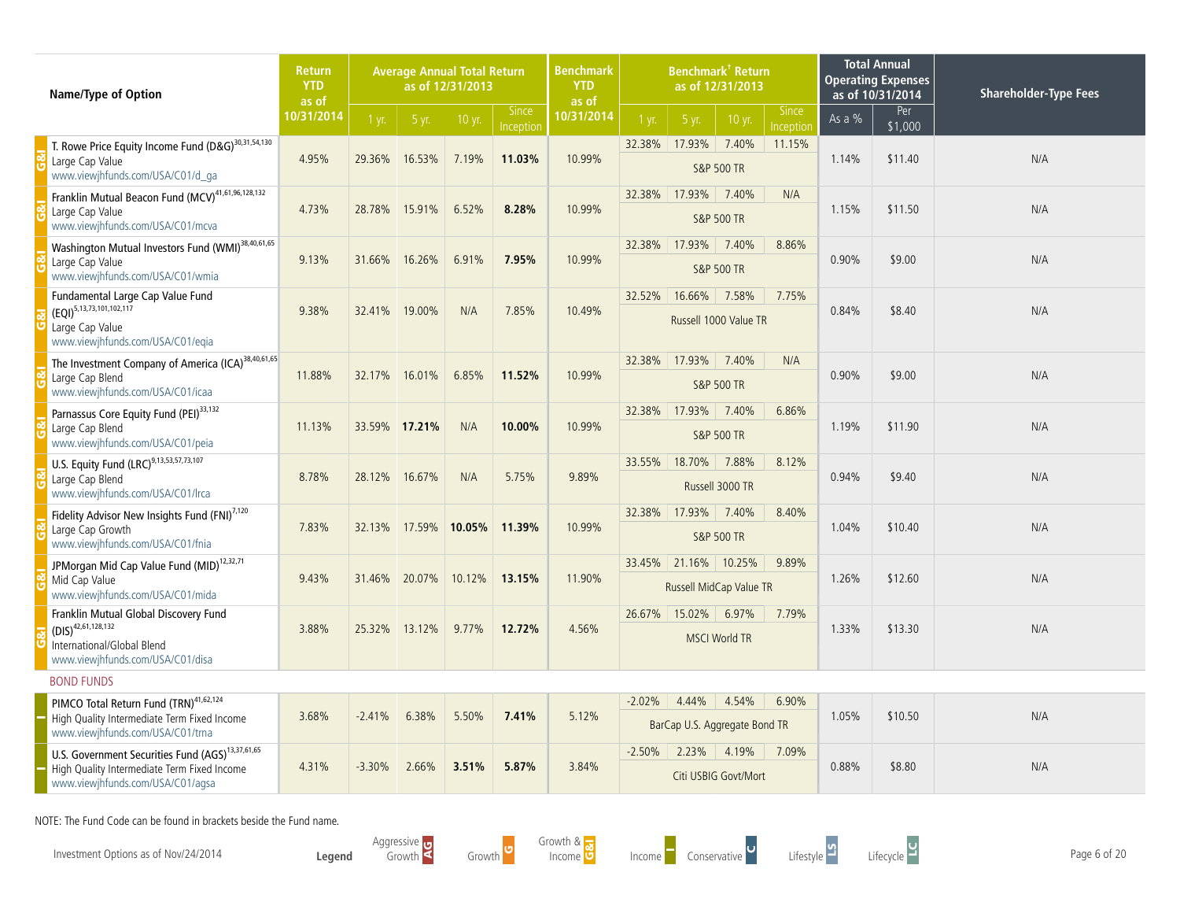| Name/Type of Option                                                                                                                             | <b>Return</b><br><b>YTD</b><br>as of |          |        | <b>Average Annual Total Return</b><br>as of 12/31/2013 |           | <b>Benchmark</b><br><b>Benchmark<sup>†</sup> Return</b><br>as of 12/31/2013<br><b>YTD</b><br>as of<br><b>Since</b><br><b>Since</b> |          |                                                 |                                |           |          | <b>Total Annual</b><br><b>Operating Expenses</b><br>as of 10/31/2014 | <b>Shareholder-Type Fees</b> |
|-------------------------------------------------------------------------------------------------------------------------------------------------|--------------------------------------|----------|--------|--------------------------------------------------------|-----------|------------------------------------------------------------------------------------------------------------------------------------|----------|-------------------------------------------------|--------------------------------|-----------|----------|----------------------------------------------------------------------|------------------------------|
|                                                                                                                                                 | 10/31/2014                           | 1 yr.    | 5 yr.  | 10 yr.                                                 | Inception | 10/31/2014                                                                                                                         | 1 yr.    | 5 yr.                                           | 10 yr.                         | Inception | As a $%$ | Per<br>\$1,000                                                       |                              |
| T. Rowe Price Equity Income Fund (D&G) <sup>30,31,54,130</sup><br>Large Cap Value<br>www.viewjhfunds.com/USA/C01/d_ga                           | 4.95%                                | 29.36%   | 16.53% | 7.19%                                                  | 11.03%    | 10.99%                                                                                                                             | 32.38%   | 17.93%                                          | 7.40%<br><b>S&amp;P 500 TR</b> | 11.15%    | 1.14%    | \$11.40                                                              | N/A                          |
| Franklin Mutual Beacon Fund (MCV) <sup>41,61,96,128,132</sup><br>Large Cap Value<br>www.viewjhfunds.com/USA/C01/mcva                            | 4.73%                                | 28.78%   | 15.91% | 6.52%                                                  | 8.28%     | 10.99%                                                                                                                             | 32.38%   | 17.93%                                          | 7.40%<br><b>S&amp;P 500 TR</b> | N/A       | 1.15%    | \$11.50                                                              | N/A                          |
| Washington Mutual Investors Fund (WMI) <sup>38,40,61,65</sup><br>Large Cap Value<br>www.viewjhfunds.com/USA/C01/wmia                            | 9.13%                                | 31.66%   | 16.26% | 6.91%                                                  | 7.95%     | 10.99%                                                                                                                             | 32.38%   | 17.93%                                          | 7.40%<br><b>S&amp;P 500 TR</b> | 8.86%     | 0.90%    | \$9.00                                                               | N/A                          |
| Fundamental Large Cap Value Fund<br>$(EQI)^{5,13,73,101,102,117}$<br>Large Cap Value<br>www.viewjhfunds.com/USA/C01/eqia                        | 9.38%                                | 32.41%   | 19.00% | N/A                                                    | 7.85%     | 10.49%                                                                                                                             | 32.52%   | 16.66%                                          | 7.58%<br>Russell 1000 Value TR | 7.75%     | 0.84%    | \$8.40                                                               | N/A                          |
| The Investment Company of America (ICA) <sup>38,40,61,65</sup><br>Large Cap Blend<br>www.viewjhfunds.com/USA/C01/icaa                           | 11.88%                               | 32.17%   | 16.01% | 6.85%                                                  | 11.52%    | 10.99%                                                                                                                             | 32.38%   | 17.93%                                          | 7.40%<br><b>S&amp;P 500 TR</b> | N/A       | 0.90%    | \$9.00                                                               | N/A                          |
| Parnassus Core Equity Fund (PEI) <sup>33,132</sup><br>Large Cap Blend<br>www.viewjhfunds.com/USA/C01/peia                                       | 11.13%                               | 33.59%   | 17.21% | N/A                                                    | 10.00%    | 10.99%                                                                                                                             | 32.38%   | 17.93%                                          | 7.40%<br><b>S&amp;P 500 TR</b> | 6.86%     | 1.19%    | \$11.90                                                              | N/A                          |
| U.S. Equity Fund (LRC) <sup>9,13,53,57,73,107</sup><br>Large Cap Blend<br>www.viewjhfunds.com/USA/C01/lrca                                      | 8.78%                                | 28.12%   | 16.67% | N/A                                                    | 5.75%     | 9.89%                                                                                                                              | 33.55%   | 18.70%                                          | 7.88%<br>Russell 3000 TR       | 8.12%     | 0.94%    | \$9.40                                                               | N/A                          |
| Fidelity Advisor New Insights Fund (FNI)7,120<br>Large Cap Growth<br>www.viewjhfunds.com/USA/C01/fnia                                           | 7.83%                                | 32.13%   | 17.59% | $10.05\%$                                              | 11.39%    | 10.99%                                                                                                                             | 32.38%   | 17.93%                                          | 7.40%<br><b>S&amp;P 500 TR</b> | 8.40%     | 1.04%    | \$10.40                                                              | N/A                          |
| JPMorgan Mid Cap Value Fund (MID) <sup>12,32,71</sup><br>Mid Cap Value<br>www.viewjhfunds.com/USA/C01/mida                                      | 9.43%                                | 31.46%   | 20.07% | 10.12%                                                 | 13.15%    | 11.90%                                                                                                                             |          | 33.45% 21.16% 10.25%<br>Russell MidCap Value TR |                                | 9.89%     | 1.26%    | \$12.60                                                              | N/A                          |
| Franklin Mutual Global Discovery Fund<br>$(DIS)^{42,61,128,132}$<br>International/Global Blend<br>www.viewjhfunds.com/USA/C01/disa              | 3.88%                                | 25.32%   | 13.12% | 9.77%                                                  | 12.72%    | 4.56%                                                                                                                              | 26.67%   | 15.02%                                          | 6.97%<br><b>MSCI World TR</b>  | 7.79%     | 1.33%    | \$13.30                                                              | N/A                          |
| <b>BOND FUNDS</b>                                                                                                                               |                                      |          |        |                                                        |           |                                                                                                                                    |          |                                                 |                                |           |          |                                                                      |                              |
| PIMCO Total Return Fund (TRN) <sup>41,62,124</sup><br>High Quality Intermediate Term Fixed Income<br>www.viewjhfunds.com/USA/C01/trna           | 3.68%                                | $-2.41%$ | 6.38%  | 5.50%                                                  | 7.41%     | 5.12%                                                                                                                              | $-2.02%$ | 4.44%<br>BarCap U.S. Aggregate Bond TR          | 4.54%                          | 6.90%     | 1.05%    | \$10.50                                                              | N/A                          |
| U.S. Government Securities Fund (AGS) <sup>13,37,61,65</sup><br>High Quality Intermediate Term Fixed Income<br>www.viewjhfunds.com/USA/C01/agsa | 4.31%                                | $-3.30%$ | 2.66%  | 3.51%                                                  | 5.87%     | 3.84%                                                                                                                              | $-2.50%$ | 2.23%                                           | 4.19%<br>Citi USBIG Govt/Mort  | 7.09%     | 0.88%    | \$8.80                                                               | N/A                          |

Investment Options as of Nov/24/2014 **Page 6 of 20** 

**Legend** Aggressive Growth Growth Growth &

owth & <mark>.3</mark><br>Income O





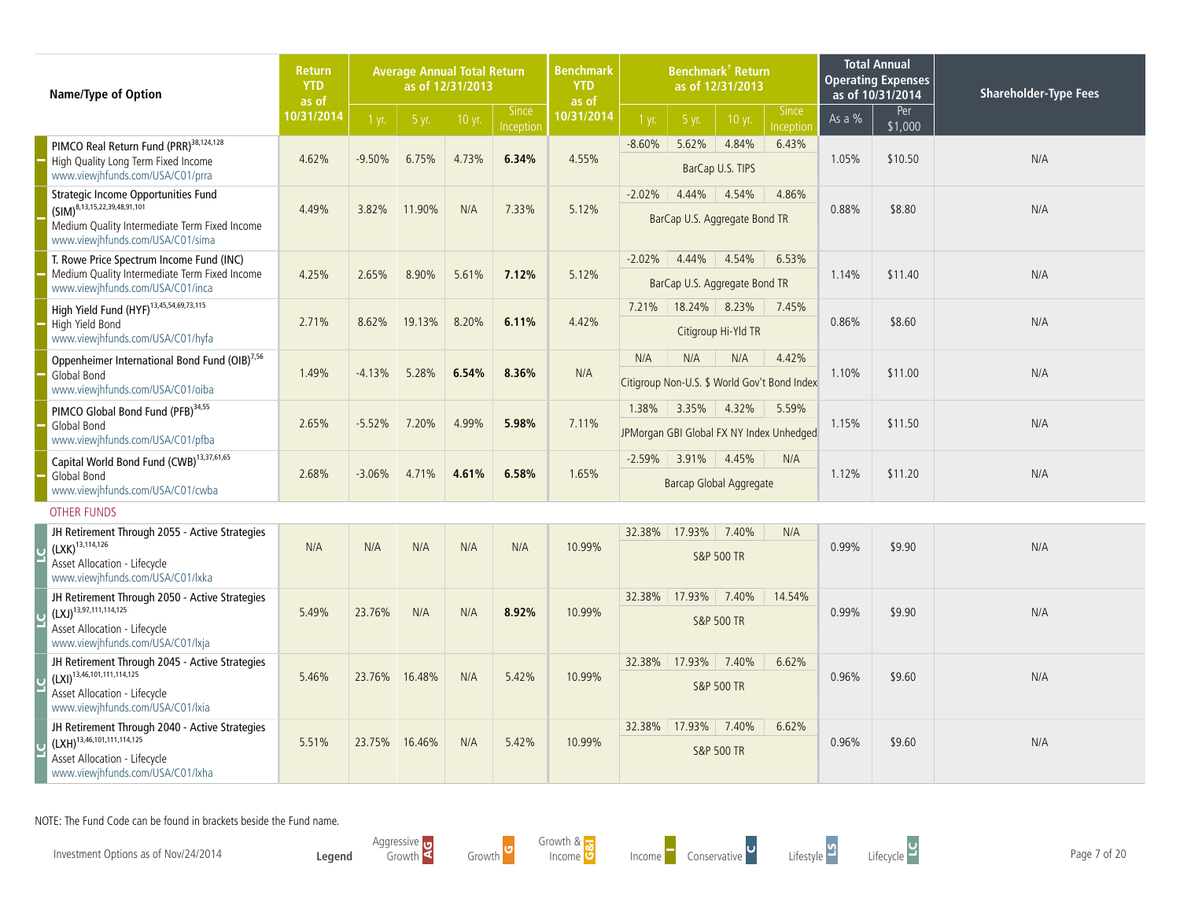| Name/Type of Option                                                                                                                                           | <b>Return</b><br><b>YTD</b><br>as of |          |        | as of 12/31/2013 | <b>Benchmark</b><br><b>Benchmark<sup>†</sup> Return</b><br><b>Average Annual Total Return</b><br>as of 12/31/2013<br><b>YTD</b><br>as of<br><b>Since</b><br><b>Since</b> |            |          |                                            |                                | <b>Total Annual</b><br><b>Operating Expenses</b><br>as of 10/31/2014 | <b>Shareholder-Type Fees</b> |                |     |
|---------------------------------------------------------------------------------------------------------------------------------------------------------------|--------------------------------------|----------|--------|------------------|--------------------------------------------------------------------------------------------------------------------------------------------------------------------------|------------|----------|--------------------------------------------|--------------------------------|----------------------------------------------------------------------|------------------------------|----------------|-----|
|                                                                                                                                                               | 10/31/2014                           | 1 yr.    | 5 yr.  | 10 yr.           | Inception                                                                                                                                                                | 10/31/2014 | 1 yr.    | 5 yr.                                      | 10 yr.                         | Inception                                                            | As a $%$                     | Per<br>\$1,000 |     |
| PIMCO Real Return Fund (PRR) <sup>38,124,128</sup><br>High Quality Long Term Fixed Income<br>www.viewjhfunds.com/USA/C01/prra                                 | 4.62%                                | $-9.50%$ | 6.75%  | 4.73%            | 6.34%                                                                                                                                                                    | 4.55%      | $-8.60%$ | 5.62%                                      | 4.84%<br>BarCap U.S. TIPS      | 6.43%                                                                | 1.05%                        | \$10.50        | N/A |
| Strategic Income Opportunities Fund<br>$(SIM)^{8,13,15,22,39,48,91,101}$<br>Medium Quality Intermediate Term Fixed Income<br>www.viewjhfunds.com/USA/C01/sima | 4.49%                                | 3.82%    | 11.90% | N/A              | 7.33%                                                                                                                                                                    | 5.12%      | $-2.02%$ | 4.44%<br>BarCap U.S. Aggregate Bond TR     | 4.54%                          | 4.86%                                                                | 0.88%                        | \$8.80         | N/A |
| T. Rowe Price Spectrum Income Fund (INC)<br>Medium Quality Intermediate Term Fixed Income<br>www.viewjhfunds.com/USA/C01/inca                                 | 4.25%                                | 2.65%    | 8.90%  | 5.61%            | 7.12%                                                                                                                                                                    | 5.12%      | $-2.02%$ | 4.44%<br>BarCap U.S. Aggregate Bond TR     | 4.54%                          | 6.53%                                                                | 1.14%                        | \$11.40        | N/A |
| High Yield Fund (HYF) <sup>13,45,54,69,73,115</sup><br>High Yield Bond<br>www.viewjhfunds.com/USA/C01/hyfa                                                    | 2.71%                                | 8.62%    | 19.13% | 8.20%            | 6.11%                                                                                                                                                                    | 4.42%      | 7.21%    | 18.24% 8.23%                               | Citigroup Hi-Yld TR            | 7.45%                                                                | 0.86%                        | \$8.60         | N/A |
| Oppenheimer International Bond Fund (OIB) <sup>7,56</sup><br>Global Bond<br>www.viewjhfunds.com/USA/C01/oiba                                                  | 1.49%                                | $-4.13%$ | 5.28%  | 6.54%            | 8.36%                                                                                                                                                                    | N/A        | N/A      | N/A                                        | N/A                            | 4.42%<br>Citigroup Non-U.S. \$ World Gov't Bond Index                | 1.10%                        | \$11.00        | N/A |
| PIMCO Global Bond Fund (PFB) <sup>34,55</sup><br>Global Bond<br>www.viewjhfunds.com/USA/C01/pfba                                                              | 2.65%                                | $-5.52%$ | 7.20%  | 4.99%            | 5.98%                                                                                                                                                                    | 7.11%      | 1.38%    | 3.35%                                      | 4.32%                          | 5.59%<br>JPMorgan GBI Global FX NY Index Unhedged                    | 1.15%                        | \$11.50        | N/A |
| Capital World Bond Fund (CWB) <sup>13,37,61,65</sup><br>Global Bond<br>www.viewjhfunds.com/USA/C01/cwba                                                       | 2.68%                                | $-3.06%$ | 4.71%  | 4.61%            | 6.58%                                                                                                                                                                    | 1.65%      |          | $-2.59\%$ 3.91%<br>Barcap Global Aggregate | 4.45%                          | N/A                                                                  | 1.12%                        | \$11.20        | N/A |
| <b>OTHER FUNDS</b>                                                                                                                                            |                                      |          |        |                  |                                                                                                                                                                          |            |          |                                            |                                |                                                                      |                              |                |     |
| JH Retirement Through 2055 - Active Strategies<br>$(LXK)^{13,114,126}$<br>Asset Allocation - Lifecycle<br>www.viewihfunds.com/USA/C01/lxka                    | N/A                                  | N/A      | N/A    | N/A              | N/A                                                                                                                                                                      | 10.99%     | 32.38%   | 17.93%                                     | 7.40%<br><b>S&amp;P 500 TR</b> | N/A                                                                  | 0.99%                        | \$9.90         | N/A |
| JH Retirement Through 2050 - Active Strategies<br>$(LXJ)^{13,97,111,114,125}$<br>Asset Allocation - Lifecycle<br>www.viewjhfunds.com/USA/C01/lxja             | 5.49%                                | 23.76%   | N/A    | N/A              | 8.92%                                                                                                                                                                    | 10.99%     | 32.38%   | 17.93%                                     | 7.40%<br><b>S&amp;P 500 TR</b> | 14.54%                                                               | 0.99%                        | \$9.90         | N/A |
| JH Retirement Through 2045 - Active Strategies<br>$(LXI)^{13,46,101,111,114,125}$<br>Asset Allocation - Lifecycle<br>www.viewjhfunds.com/USA/C01/lxia         | 5.46%                                | 23.76%   | 16.48% | N/A              | 5.42%                                                                                                                                                                    | 10.99%     | 32.38%   | 17.93%                                     | 7.40%<br><b>S&amp;P 500 TR</b> | 6.62%                                                                | 0.96%                        | \$9.60         | N/A |
| JH Retirement Through 2040 - Active Strategies<br>$(LXH)^{13,46,101,111,114,125}$<br>Asset Allocation - Lifecycle<br>www.viewjhfunds.com/USA/C01/lxha         | 5.51%                                | 23.75%   | 16.46% | N/A              | 5.42%                                                                                                                                                                    | 10.99%     | 32.38%   | 17.93%                                     | 7.40%<br><b>S&amp;P 500 TR</b> | 6.62%                                                                | 0.96%                        | \$9.60         | N/A |

Investment Options as of Nov/24/2014 **Page 7 of 20**<br>Income Conservative Conservative Lifestyle Lifestyle Lifecycle Lifestyle Lifecycle Lifecycle Page 7 of 20



Growth C

Growth & owth & <mark>.3</mark><br>Income O



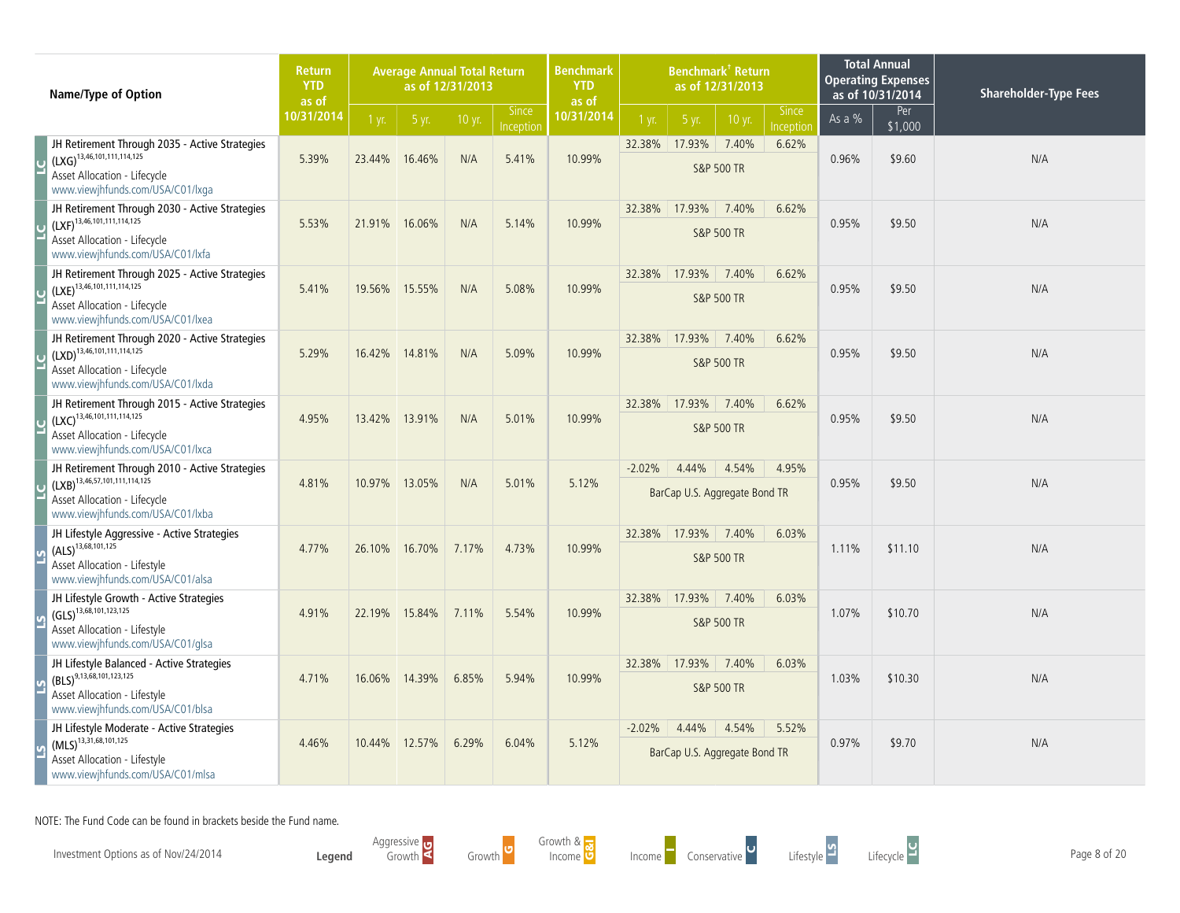| Name/Type of Option                                                                                                                                          | <b>Return</b><br><b>YTD</b><br>as of |        | <b>Average Annual Total Return</b> | as of 12/31/2013 |                           | <b>Benchmark</b><br><b>YTD</b><br>as of | <b>Benchmark<sup>†</sup> Return</b><br>as of 12/31/2013<br>Since |                                        |                                |           |          | <b>Total Annual</b><br><b>Operating Expenses</b><br>as of 10/31/2014 | <b>Shareholder-Type Fees</b> |
|--------------------------------------------------------------------------------------------------------------------------------------------------------------|--------------------------------------|--------|------------------------------------|------------------|---------------------------|-----------------------------------------|------------------------------------------------------------------|----------------------------------------|--------------------------------|-----------|----------|----------------------------------------------------------------------|------------------------------|
|                                                                                                                                                              | 10/31/2014                           | 1 yr.  | 5 yr.                              | 10 yr.           | <b>Since</b><br>Inception | 10/31/2014                              | 1 yr.                                                            | 5 yr.                                  | 10 yr.                         | Inception | As a $%$ | Per<br>\$1,000                                                       |                              |
| JH Retirement Through 2035 - Active Strategies<br>$(LXG)^{13,46,101,111,114,125}$<br>Asset Allocation - Lifecycle<br>www.viewjhfunds.com/USA/C01/lxga        | 5.39%                                | 23.44% | 16.46%                             | N/A              | 5.41%                     | 10.99%                                  | 32.38%                                                           | 17.93%                                 | 7.40%<br><b>S&amp;P 500 TR</b> | 6.62%     | 0.96%    | \$9.60                                                               | N/A                          |
| JH Retirement Through 2030 - Active Strategies<br>$(LXF)^{13,46,101,111,114,125}$<br><b>Asset Allocation - Lifecycle</b><br>www.viewjhfunds.com/USA/C01/lxfa | 5.53%                                | 21.91% | 16.06%                             | N/A              | 5.14%                     | 10.99%                                  | 32.38%                                                           | 17.93%                                 | 7.40%<br><b>S&amp;P 500 TR</b> | 6.62%     | 0.95%    | \$9.50                                                               | N/A                          |
| JH Retirement Through 2025 - Active Strategies<br>$(LXE)^{13,46,101,111,114,125}$<br>Asset Allocation - Lifecycle<br>www.viewjhfunds.com/USA/C01/lxea        | 5.41%                                | 19.56% | 15.55%                             | N/A              | 5.08%                     | 10.99%                                  | 32.38%                                                           | 17.93%                                 | 7.40%<br><b>S&amp;P 500 TR</b> | 6.62%     | 0.95%    | \$9.50                                                               | N/A                          |
| JH Retirement Through 2020 - Active Strategies<br>$(LXD)^{13,46,101,111,114,125}$<br>Asset Allocation - Lifecycle<br>www.viewjhfunds.com/USA/C01/lxda        | 5.29%                                | 16.42% | 14.81%                             | N/A              | 5.09%                     | 10.99%                                  | 32.38%                                                           | 17.93%                                 | 7.40%<br><b>S&amp;P 500 TR</b> | 6.62%     | 0.95%    | \$9.50                                                               | N/A                          |
| JH Retirement Through 2015 - Active Strategies<br>$(LXC)^{13,46,101,111,114,125}$<br>Asset Allocation - Lifecycle<br>www.viewjhfunds.com/USA/C01/lxca        | 4.95%                                | 13.42% | 13.91%                             | N/A              | 5.01%                     | 10.99%                                  | 32.38%                                                           | 17.93%                                 | 7.40%<br><b>S&amp;P 500 TR</b> | 6.62%     | 0.95%    | \$9.50                                                               | N/A                          |
| JH Retirement Through 2010 - Active Strategies<br>$(LXB)^{13,46,57,101,111,114,125}$<br>Asset Allocation - Lifecycle<br>www.viewjhfunds.com/USA/C01/lxba     | 4.81%                                | 10.97% | 13.05%                             | N/A              | 5.01%                     | 5.12%                                   | $-2.02%$                                                         | 4.44%<br>BarCap U.S. Aggregate Bond TR | 4.54%                          | 4.95%     | 0.95%    | \$9.50                                                               | N/A                          |
| JH Lifestyle Aggressive - Active Strategies<br>$(ALS)^{13,68,101,125}$<br>Asset Allocation - Lifestyle<br>www.viewjhfunds.com/USA/C01/alsa                   | 4.77%                                | 26.10% | 16.70%                             | 7.17%            | 4.73%                     | 10.99%                                  | 32.38%                                                           | 17.93%                                 | 7.40%<br><b>S&amp;P 500 TR</b> | 6.03%     | 1.11%    | \$11.10                                                              | N/A                          |
| JH Lifestyle Growth - Active Strategies<br>$(GLS)^{13,68,101,123,125}$<br>Asset Allocation - Lifestyle<br>www.viewjhfunds.com/USA/C01/glsa                   | 4.91%                                | 22.19% | 15.84%                             | 7.11%            | 5.54%                     | 10.99%                                  | 32.38%                                                           | 17.93%                                 | 7.40%<br><b>S&amp;P 500 TR</b> | 6.03%     | 1.07%    | \$10.70                                                              | N/A                          |
| JH Lifestyle Balanced - Active Strategies<br>$(BLS)^{9,13,68,101,123,125}$<br>Asset Allocation - Lifestyle<br>www.viewjhfunds.com/USA/C01/blsa               | 4.71%                                | 16.06% | 14.39%                             | 6.85%            | 5.94%                     | 10.99%                                  | 32.38%                                                           | 17.93%                                 | 7.40%<br><b>S&amp;P 500 TR</b> | 6.03%     | 1.03%    | \$10.30                                                              | N/A                          |
| JH Lifestyle Moderate - Active Strategies<br>$(MLS)^{13,31,68,101,125}$<br>Asset Allocation - Lifestyle<br>www.viewjhfunds.com/USA/C01/mlsa                  | 4.46%                                | 10.44% | 12.57%                             | 6.29%            | 6.04%                     | 5.12%                                   | $-2.02%$                                                         | 4.44%<br>BarCap U.S. Aggregate Bond TR | 4.54%                          | 5.52%     | 0.97%    | \$9.70                                                               | N/A                          |

Investment Options as of Nov/24/2014 **Page 8 of 20**<br>Income Conservative Conservative Lifestyle Lifestyle Lifecycle Lifestyle Lifecycle Lifecycle Page 8 of 20

**Legend** Aggressive Growth Growth <sup>G</sup>



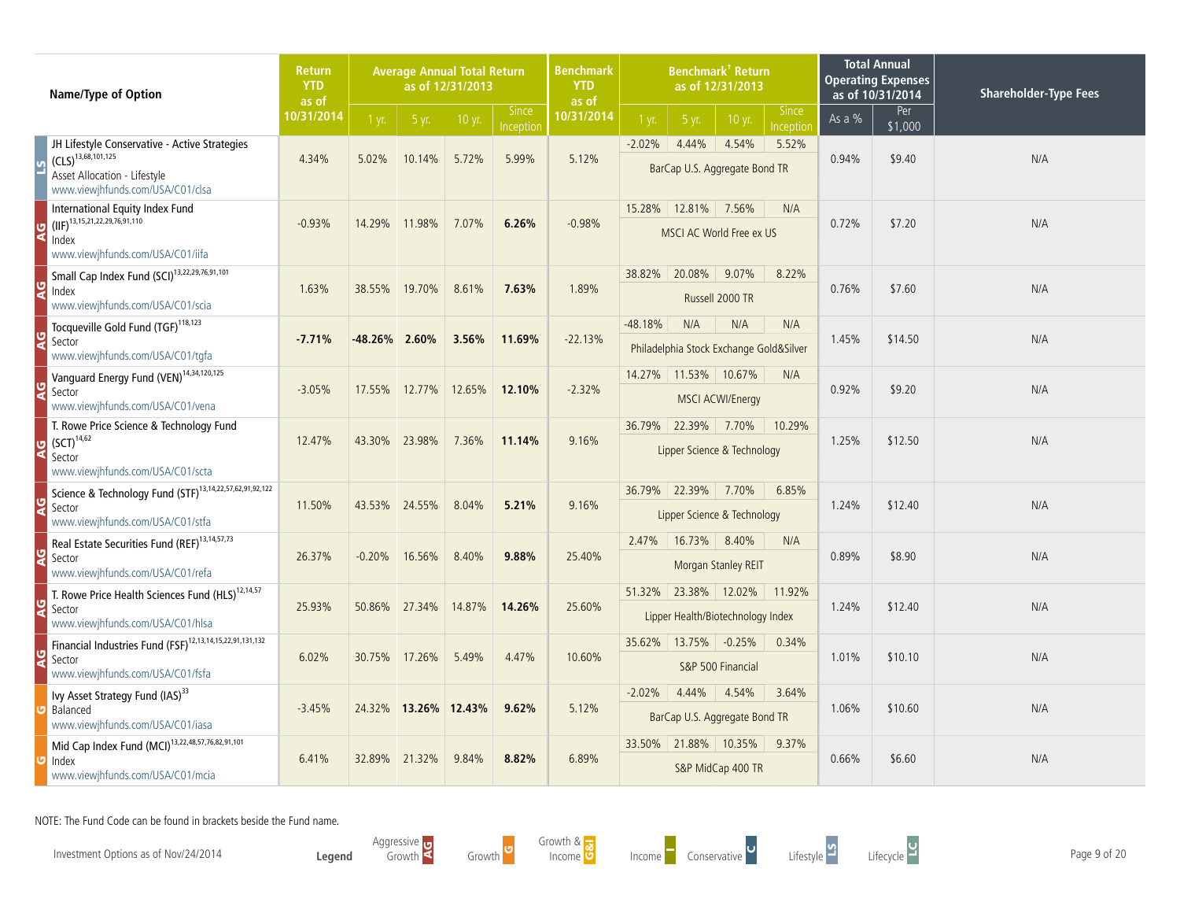| Name/Type of Option                                                                                                                          | <b>Return</b><br><b>YTD</b><br>as of |          | <b>Average Annual Total Return</b> | as of 12/31/2013 |                           | <b>Benchmark<sup>†</sup> Return</b><br><b>Benchmark</b><br>as of 12/31/2013<br><b>YTD</b><br>as of |           |                                                           |                               |                           |          | <b>Total Annual</b><br><b>Operating Expenses</b><br>as of 10/31/2014 | <b>Shareholder-Type Fees</b> |
|----------------------------------------------------------------------------------------------------------------------------------------------|--------------------------------------|----------|------------------------------------|------------------|---------------------------|----------------------------------------------------------------------------------------------------|-----------|-----------------------------------------------------------|-------------------------------|---------------------------|----------|----------------------------------------------------------------------|------------------------------|
|                                                                                                                                              | 10/31/2014                           | $1$ yr.  | 5 yr.                              | 10 yr.           | <b>Since</b><br>Inception | 10/31/2014                                                                                         | 1 yr.     | 5 yr.                                                     | 10 yr.                        | <b>Since</b><br>Inception | As a $%$ | Per<br>\$1,000                                                       |                              |
| JH Lifestyle Conservative - Active Strategies<br>$(CLS)^{13,68,101,125}$<br>Asset Allocation - Lifestyle<br>www.viewjhfunds.com/USA/C01/clsa | 4.34%                                | 5.02%    | 10.14%                             | 5.72%            | 5.99%                     | 5.12%                                                                                              | $-2.02%$  | 4.44%<br>BarCap U.S. Aggregate Bond TR                    | 4.54%                         | 5.52%                     | 0.94%    | \$9.40                                                               | N/A                          |
| International Equity Index Fund<br>$(IIF)^{13,15,21,22,29,76,91,110}$<br>Index<br>www.viewjhfunds.com/USA/C01/iifa                           | $-0.93%$                             | 14.29%   | 11.98%                             | 7.07%            | 6.26%                     | $-0.98%$                                                                                           | 15.28%    | 12.81%<br>MSCI AC World Free ex US                        | 7.56%                         | N/A                       | 0.72%    | \$7.20                                                               | N/A                          |
| Small Cap Index Fund (SCI) <sup>13,22,29,76,91,101</sup><br>Index<br>www.viewjhfunds.com/USA/C01/scia                                        | 1.63%                                | 38.55%   | 19.70%                             | 8.61%            | 7.63%                     | 1.89%                                                                                              | 38.82%    | 20.08%                                                    | 9.07%<br>Russell 2000 TR      | 8.22%                     | 0.76%    | \$7.60                                                               | N/A                          |
| Tocqueville Gold Fund (TGF) <sup>118,123</sup><br>Sector<br>www.viewjhfunds.com/USA/C01/tgfa                                                 | $-7.71%$                             | -48.26%  | 2.60%                              | 3.56%            | 11.69%                    | $-22.13%$                                                                                          | $-48.18%$ | N/A<br>Philadelphia Stock Exchange Gold&Silver            | N/A                           | N/A                       | 1.45%    | \$14.50                                                              | N/A                          |
| Vanguard Energy Fund (VEN) <sup>14,34,120,125</sup><br>Sector<br>www.viewjhfunds.com/USA/C01/vena                                            | $-3.05%$                             | 17.55%   | 12.77%                             | 12.65%           | 12.10%                    | $-2.32%$                                                                                           |           | 14.27% 11.53% 10.67%                                      | <b>MSCI ACWI/Energy</b>       | N/A                       | 0.92%    | \$9.20                                                               | N/A                          |
| T. Rowe Price Science & Technology Fund<br>$(SCT)^{14,62}$<br>Sector<br>www.viewjhfunds.com/USA/C01/scta                                     | 12.47%                               | 43.30%   | 23.98%                             | 7.36%            | 11.14%                    | 9.16%                                                                                              |           | 36.79% 22.39% 7.70%<br>Lipper Science & Technology        |                               | 10.29%                    | 1.25%    | \$12.50                                                              | N/A                          |
| Science & Technology Fund (STF) <sup>13,14,22,57,62,91,92,122</sup><br>Sector<br>www.viewjhfunds.com/USA/C01/stfa                            | 11.50%                               | 43.53%   | 24.55%                             | 8.04%            | 5.21%                     | 9.16%                                                                                              |           | 36.79% 22.39%<br>Lipper Science & Technology              | 7.70%                         | 6.85%                     | 1.24%    | \$12.40                                                              | N/A                          |
| Real Estate Securities Fund (REF) <sup>13,14,57,73</sup><br>Sector<br>www.viewjhfunds.com/USA/C01/refa                                       | 26.37%                               | $-0.20%$ | 16.56%                             | 8.40%            | 9.88%                     | 25.40%                                                                                             | 2.47%     | 16.73%                                                    | 8.40%<br>Morgan Stanley REIT  | N/A                       | 0.89%    | \$8.90                                                               | N/A                          |
| T. Rowe Price Health Sciences Fund (HLS) <sup>12,14,57</sup><br>Sector<br>www.viewjhfunds.com/USA/C01/hlsa                                   | 25.93%                               | 50.86%   | 27.34%                             | 14.87%           | 14.26%                    | 25.60%                                                                                             |           | 51.32% 23.38% 12.02%<br>Lipper Health/Biotechnology Index |                               | 11.92%                    | 1.24%    | \$12.40                                                              | N/A                          |
| Financial Industries Fund (FSF) <sup>12,13,14,15,22,91,131,132</sup><br>Sector<br>www.viewjhfunds.com/USA/C01/fsfa                           | 6.02%                                | 30.75%   | 17.26%                             | 5.49%            | 4.47%                     | 10.60%                                                                                             | 35.62%    | 13.75%                                                    | $-0.25%$<br>S&P 500 Financial | 0.34%                     | 1.01%    | \$10.10                                                              | N/A                          |
| Ivy Asset Strategy Fund (IAS) <sup>33</sup><br>Balanced<br>www.viewihfunds.com/USA/C01/iasa                                                  | $-3.45%$                             |          | 24.32% 13.26% 12.43%               |                  | 9.62%                     | 5.12%                                                                                              | $-2.02%$  | 4.44%<br>BarCap U.S. Aggregate Bond TR                    | 4.54%                         | 3.64%                     | 1.06%    | \$10.60                                                              | N/A                          |
| Mid Cap Index Fund (MCI) <sup>13,22,48,57,76,82,91,101</sup><br>Index<br>www.viewjhfunds.com/USA/C01/mcia                                    | 6.41%                                | 32.89%   | 21.32%                             | 9.84%            | 8.82%                     | 6.89%                                                                                              | 33.50%    | 21.88% 10.35%                                             | S&P MidCap 400 TR             | 9.37%                     | 0.66%    | \$6.60                                                               | N/A                          |

Investment Options as of Nov/24/2014 **Page 9 of 20**<br>Income Conservative Conservative Lifestyle Lifestyle Lifecycle Lifestyle Lifecycle Lifecycle Page 9 of 20

**Legend** Aggressive Growth Growth C Growth &

owth & <mark>.3</mark><br>Income O



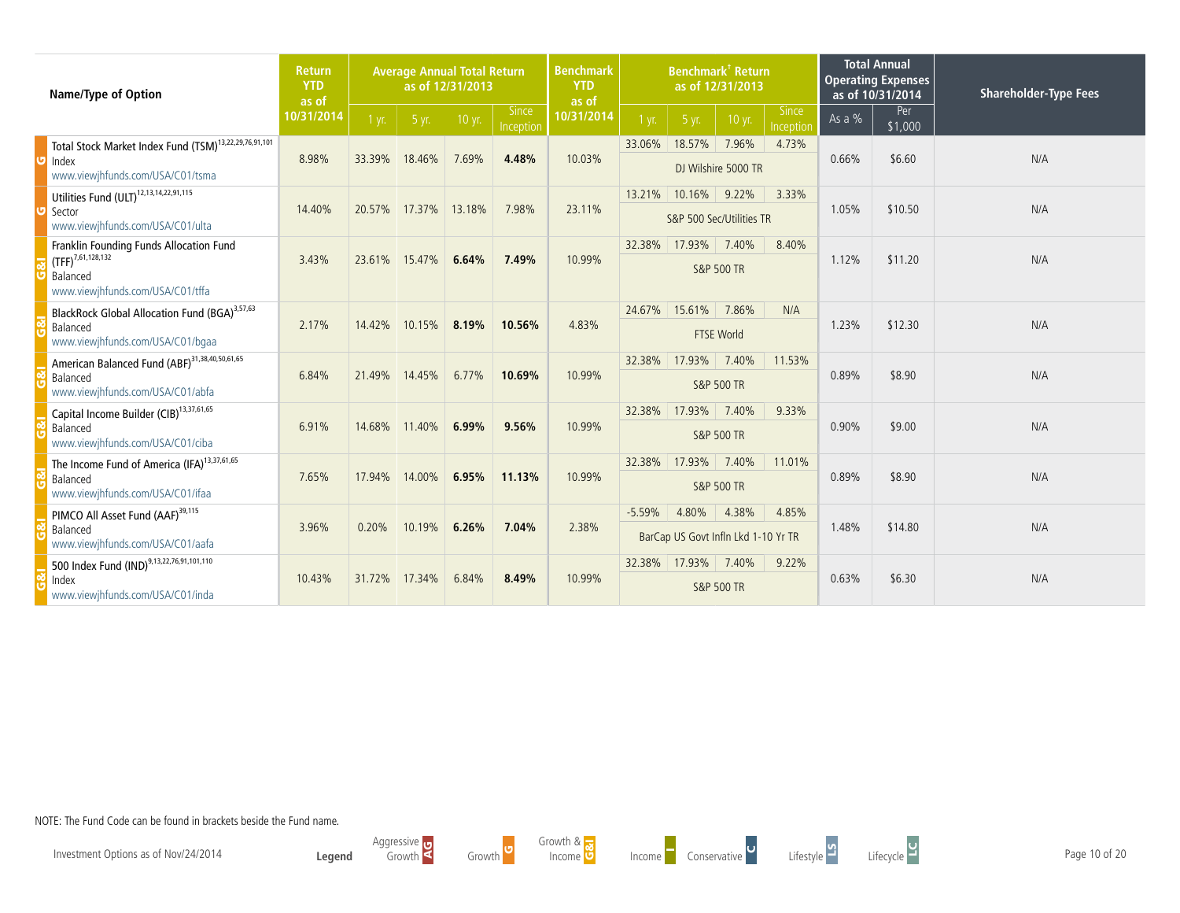| Name/Type of Option                                                                                                                    | <b>Average Annual Total Return</b><br><b>Return</b><br><b>YTD</b><br>as of 12/31/2013<br>as of |         |        | <b>Benchmark</b><br><b>YTD</b><br>as of | Benchmark <sup>†</sup> Return<br>as of 12/31/2013 |            |          | <b>Total Annual</b><br><b>Operating Expenses</b><br>as of 10/31/2014 |                                | <b>Shareholder-Type Fees</b> |        |                |     |
|----------------------------------------------------------------------------------------------------------------------------------------|------------------------------------------------------------------------------------------------|---------|--------|-----------------------------------------|---------------------------------------------------|------------|----------|----------------------------------------------------------------------|--------------------------------|------------------------------|--------|----------------|-----|
|                                                                                                                                        | 10/31/2014                                                                                     | $1$ yr. | 5 yr.  | 10 yr.                                  | <b>Since</b><br>Inception                         | 10/31/2014 | $1$ yr.  | 5 yr.                                                                | 10 yr.                         | <b>Since</b><br>Inception    | As a % | Per<br>\$1,000 |     |
| Total Stock Market Index Fund (TSM) <sup>13,22,29,76,91,101</sup><br>$\overline{\mathbf{U}}$ Index<br>www.viewjhfunds.com/USA/C01/tsma | 8.98%                                                                                          | 33.39%  | 18.46% | 7.69%                                   | 4.48%                                             | 10.03%     | 33.06%   | 18.57%                                                               | 7.96%<br>DJ Wilshire 5000 TR   | 4.73%                        | 0.66%  | \$6.60         | N/A |
| Utilities Fund (ULT) <sup>12,13,14,22,91,115</sup><br>Sector<br>www.viewjhfunds.com/USA/C01/ulta                                       | 14.40%                                                                                         | 20.57%  | 17.37% | 13.18%                                  | 7.98%                                             | 23.11%     | 13.21%   | 10.16%<br>S&P 500 Sec/Utilities TR                                   | 9.22%                          | 3.33%                        | 1.05%  | \$10.50        | N/A |
| Franklin Founding Funds Allocation Fund<br>$\sqrt{(TFF)^{7,61,128,132}}$<br>Balanced<br>www.viewjhfunds.com/USA/C01/tffa               | 3.43%                                                                                          | 23.61%  | 15.47% | 6.64%                                   | 7.49%                                             | 10.99%     | 32.38%   | 17.93%                                                               | 7.40%<br><b>S&amp;P 500 TR</b> | 8.40%                        | 1.12%  | \$11.20        | N/A |
| BlackRock Global Allocation Fund (BGA) <sup>3,57,63</sup><br>Balanced<br>www.viewjhfunds.com/USA/C01/bgaa                              | 2.17%                                                                                          | 14.42%  | 10.15% | 8.19%                                   | 10.56%                                            | 4.83%      | 24.67%   | 15.61%                                                               | 7.86%<br><b>FTSE World</b>     | N/A                          | 1.23%  | \$12.30        | N/A |
| American Balanced Fund (ABF) <sup>31,38,40,50,61,65</sup><br>Balanced<br>www.viewjhfunds.com/USA/C01/abfa                              | 6.84%                                                                                          | 21.49%  | 14.45% | 6.77%                                   | 10.69%                                            | 10.99%     | 32.38%   | 17.93%                                                               | 7.40%<br>S&P 500 TR            | 11.53%                       | 0.89%  | \$8.90         | N/A |
| Capital Income Builder (CIB) <sup>13,37,61,65</sup><br>Balanced<br>www.viewjhfunds.com/USA/C01/ciba                                    | 6.91%                                                                                          | 14.68%  | 11.40% | 6.99%                                   | 9.56%                                             | 10.99%     | 32.38%   | 17.93%                                                               | 7.40%<br><b>S&amp;P 500 TR</b> | 9.33%                        | 0.90%  | \$9.00         | N/A |
| The Income Fund of America (IFA) <sup>13,37,61,65</sup><br>Balanced<br>www.viewjhfunds.com/USA/C01/ifaa                                | 7.65%                                                                                          | 17.94%  | 14.00% | 6.95%                                   | 11.13%                                            | 10.99%     | 32.38%   | 17.93%                                                               | 7.40%<br><b>S&amp;P 500 TR</b> | 11.01%                       | 0.89%  | \$8.90         | N/A |
| PIMCO All Asset Fund (AAF) <sup>39,115</sup><br>Balanced<br>www.viewjhfunds.com/USA/C01/aafa                                           | 3.96%                                                                                          | 0.20%   | 10.19% | 6.26%                                   | 7.04%                                             | 2.38%      | $-5.59%$ | 4.80%<br>BarCap US Govt Infln Lkd 1-10 Yr TR                         | 4.38%                          | 4.85%                        | 1.48%  | \$14.80        | N/A |
| 500 Index Fund (IND) <sup>9,13,22,76,91,101,110</sup><br>Index<br>www.viewjhfunds.com/USA/C01/inda                                     | 10.43%                                                                                         | 31.72%  | 17.34% | 6.84%                                   | 8.49%                                             | 10.99%     | 32.38%   | 17.93%                                                               | 7.40%<br><b>S&amp;P 500 TR</b> | 9.22%                        | 0.63%  | \$6.30         | N/A |

Aggressive Growth Growth





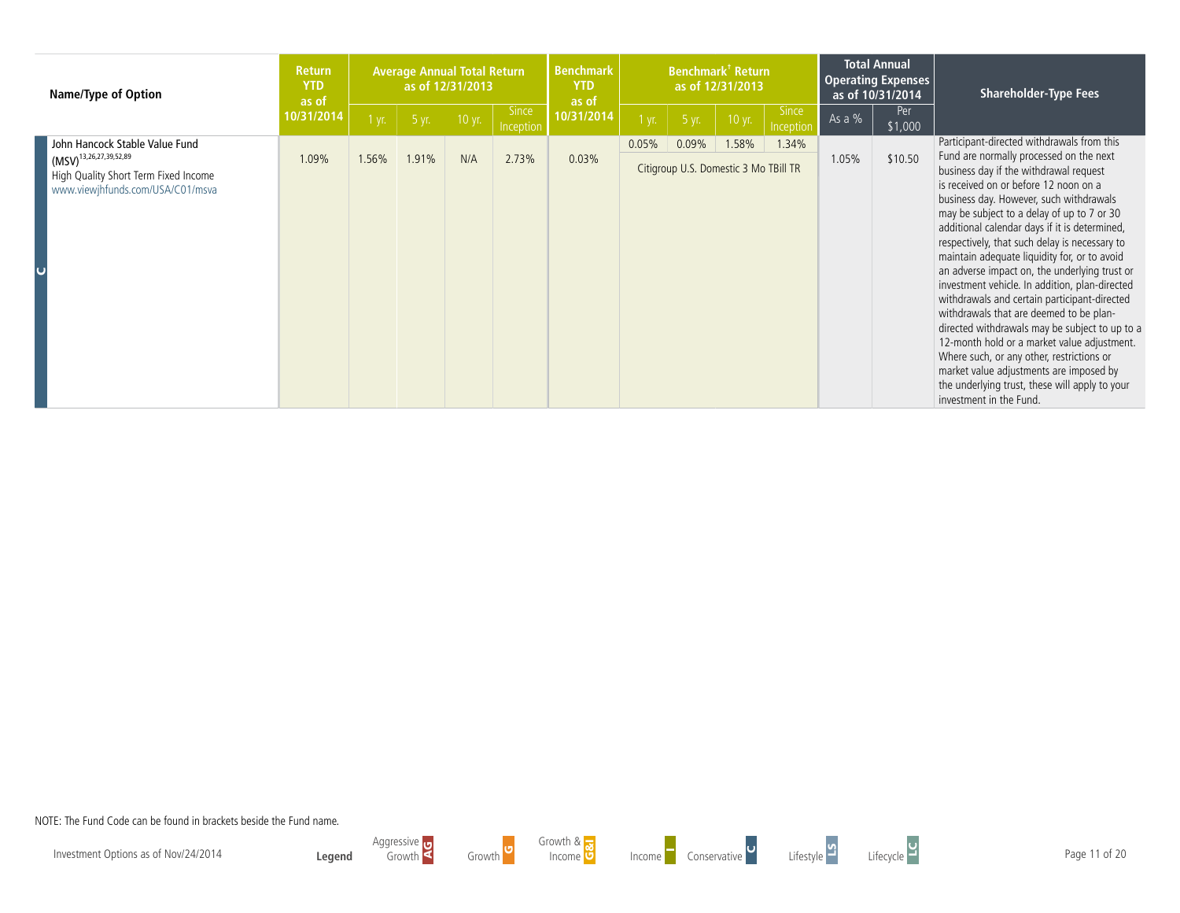| <b>Name/Type of Option</b>                                                                                                                | <b>Return</b><br><b>YTD</b><br>as of<br>10/31/2014 | <b>Average Annual Total Return</b><br>as of 12/31/2013 |       |        |                           | <b>Benchmark</b><br><b>YTD</b><br>as of | Benchmark <sup>†</sup> Return<br>as of 12/31/2013 |                                                |        |                           | <b>Total Annual</b><br><b>Operating Expenses</b><br>as of 10/31/2014 |                 | <b>Shareholder-Type Fees</b>                                                                                                                                                                                                                                                                                                                                                                                                                                                                                                                                                                                                                                                                                                                                                                                                                                                            |
|-------------------------------------------------------------------------------------------------------------------------------------------|----------------------------------------------------|--------------------------------------------------------|-------|--------|---------------------------|-----------------------------------------|---------------------------------------------------|------------------------------------------------|--------|---------------------------|----------------------------------------------------------------------|-----------------|-----------------------------------------------------------------------------------------------------------------------------------------------------------------------------------------------------------------------------------------------------------------------------------------------------------------------------------------------------------------------------------------------------------------------------------------------------------------------------------------------------------------------------------------------------------------------------------------------------------------------------------------------------------------------------------------------------------------------------------------------------------------------------------------------------------------------------------------------------------------------------------------|
|                                                                                                                                           |                                                    | $1$ yr.                                                | 5 yr. | 10 yr. | <b>Since</b><br>Inception | 10/31/2014                              | 1 yr.                                             | 5 yr.                                          | 10 yr. | <b>Since</b><br>Inception | As a $%$                                                             | Per.<br>\$1,000 |                                                                                                                                                                                                                                                                                                                                                                                                                                                                                                                                                                                                                                                                                                                                                                                                                                                                                         |
| John Hancock Stable Value Fund<br>$(MSV)^{13,26,27,39,52,89}$<br>High Quality Short Term Fixed Income<br>www.viewjhfunds.com/USA/C01/msva | 1.09%                                              | 1.56%                                                  | 1.91% | N/A    | 2.73%                     | 0.03%                                   | 0.05%                                             | 0.09%<br>Citigroup U.S. Domestic 3 Mo TBill TR | .58%   | 1.34%                     | 1.05%                                                                | \$10.50         | Participant-directed withdrawals from this<br>Fund are normally processed on the next<br>business day if the withdrawal request<br>is received on or before 12 noon on a<br>business day. However, such withdrawals<br>may be subject to a delay of up to 7 or 30<br>additional calendar days if it is determined,<br>respectively, that such delay is necessary to<br>maintain adequate liquidity for, or to avoid<br>an adverse impact on, the underlying trust or<br>investment vehicle. In addition, plan-directed<br>withdrawals and certain participant-directed<br>withdrawals that are deemed to be plan-<br>directed withdrawals may be subject to up to a<br>12-month hold or a market value adjustment.<br>Where such, or any other, restrictions or<br>market value adjustments are imposed by<br>the underlying trust, these will apply to your<br>investment in the Fund. |



Growth Growth <sup>G</sup>







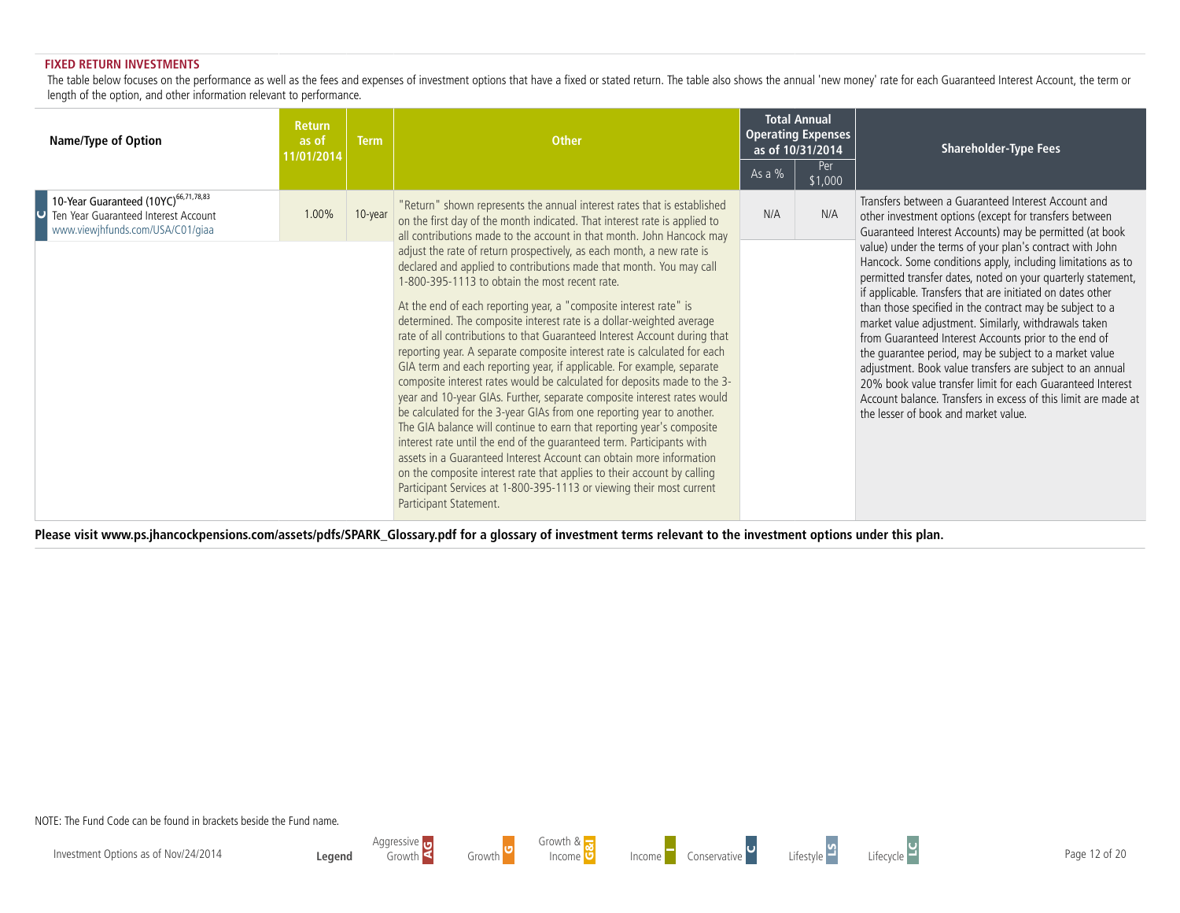#### **FIXED RETURN INVESTMENTS**

The table below focuses on the performance as well as the fees and expenses of investment options that have a fixed or stated return. The table also shows the annual 'new money' rate for each Guaranteed Interest Account, t length of the option, and other information relevant to performance.

| <b>Name/Type of Option</b>                                                                                                                       | <b>Return</b><br>as of<br>11/01/2014 | <b>Term</b> | <b>Other</b>                                                                                                                                                                                                                                                                                                                                                                                                                                                                                                                                                                                                                                                                                                                           | <b>Total Annual</b><br><b>Operating Expenses</b><br>as of 10/31/2014<br>Per<br>As a $%$<br>\$1,000 |  | <b>Shareholder-Type Fees</b>                                                                                                                                                                                                                                                                                                                                                                                                                                                                                                                                                                                    |  |  |
|--------------------------------------------------------------------------------------------------------------------------------------------------|--------------------------------------|-------------|----------------------------------------------------------------------------------------------------------------------------------------------------------------------------------------------------------------------------------------------------------------------------------------------------------------------------------------------------------------------------------------------------------------------------------------------------------------------------------------------------------------------------------------------------------------------------------------------------------------------------------------------------------------------------------------------------------------------------------------|----------------------------------------------------------------------------------------------------|--|-----------------------------------------------------------------------------------------------------------------------------------------------------------------------------------------------------------------------------------------------------------------------------------------------------------------------------------------------------------------------------------------------------------------------------------------------------------------------------------------------------------------------------------------------------------------------------------------------------------------|--|--|
| 10-Year Guaranteed (10YC) <sup>66,71,78,83</sup><br>1.00%<br>10-year<br>Ten Year Guaranteed Interest Account<br>www.viewjhfunds.com/USA/C01/giaa |                                      |             | "Return" shown represents the annual interest rates that is established<br>on the first day of the month indicated. That interest rate is applied to<br>all contributions made to the account in that month. John Hancock may<br>adjust the rate of return prospectively, as each month, a new rate is<br>declared and applied to contributions made that month. You may call<br>1-800-395-1113 to obtain the most recent rate.<br>At the end of each reporting year, a "composite interest rate" is<br>determined. The composite interest rate is a dollar-weighted average<br>rate of all contributions to that Guaranteed Interest Account during that<br>reporting year. A separate composite interest rate is calculated for each | N/A<br>N/A                                                                                         |  | Transfers between a Guaranteed Interest Account and<br>other investment options (except for transfers between<br>Guaranteed Interest Accounts) may be permitted (at book<br>value) under the terms of your plan's contract with John<br>Hancock. Some conditions apply, including limitations as to<br>permitted transfer dates, noted on your quarterly statement,<br>if applicable. Transfers that are initiated on dates other<br>than those specified in the contract may be subject to a<br>market value adjustment. Similarly, withdrawals taken<br>from Guaranteed Interest Accounts prior to the end of |  |  |
|                                                                                                                                                  |                                      |             | GIA term and each reporting year, if applicable. For example, separate<br>composite interest rates would be calculated for deposits made to the 3-<br>year and 10-year GIAs. Further, separate composite interest rates would<br>be calculated for the 3-year GIAs from one reporting year to another.<br>The GIA balance will continue to earn that reporting year's composite<br>interest rate until the end of the quaranteed term. Participants with<br>assets in a Guaranteed Interest Account can obtain more information<br>on the composite interest rate that applies to their account by calling<br>Participant Services at 1-800-395-1113 or viewing their most current<br>Participant Statement.                           |                                                                                                    |  | the quarantee period, may be subject to a market value<br>adjustment. Book value transfers are subject to an annual<br>20% book value transfer limit for each Guaranteed Interest<br>Account balance. Transfers in excess of this limit are made at<br>the lesser of book and market value.                                                                                                                                                                                                                                                                                                                     |  |  |

**Please visit www.ps.jhancockpensions.com/assets/pdfs/SPARK\_Glossary.pdf for a glossary of investment terms relevant to the investment options under this plan.**

NOTE: The Fund Code can be found in brackets beside the Fund name.







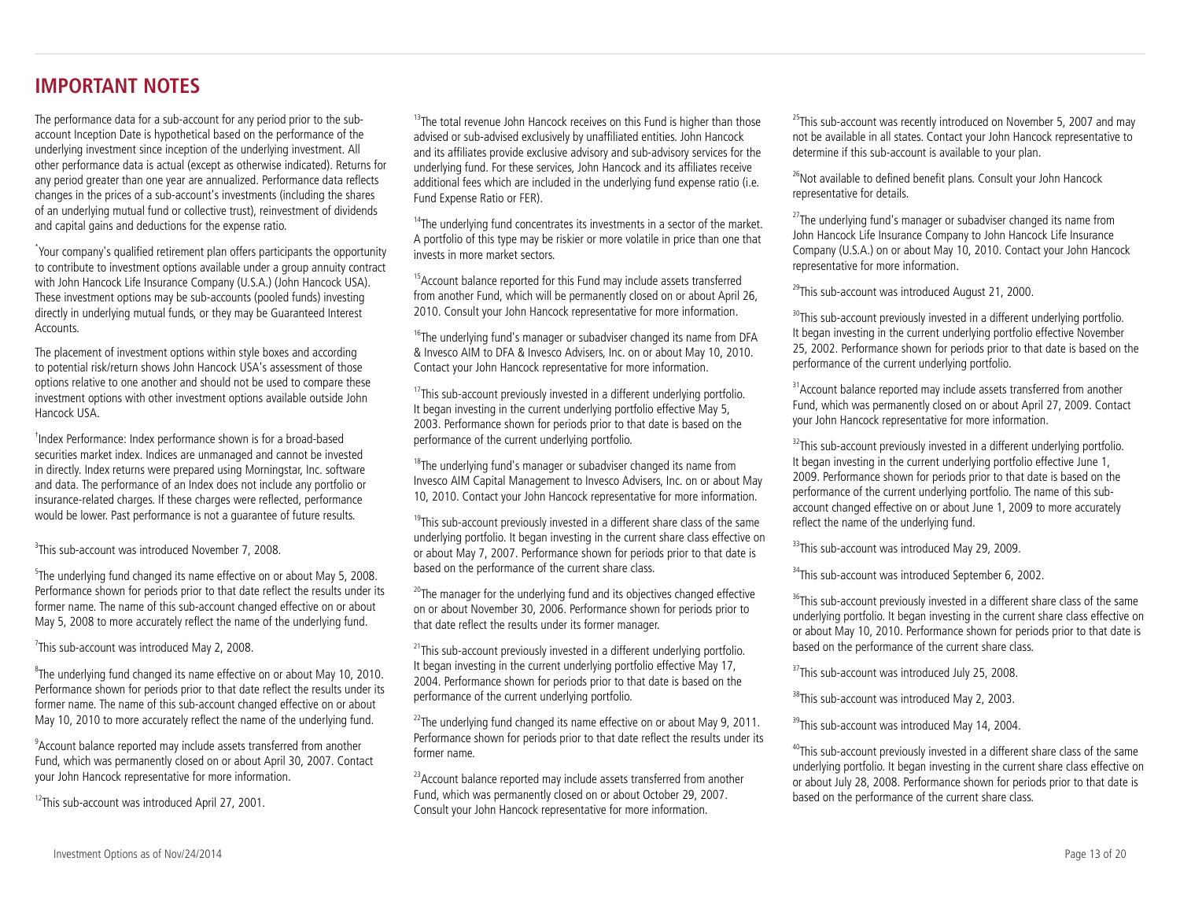# **IMPORTANT NOTES**

The performance data for a sub-account for any period prior to the subaccount Inception Date is hypothetical based on the performance of the underlying investment since inception of the underlying investment. All other performance data is actual (except as otherwise indicated). Returns for any period greater than one year are annualized. Performance data reflects changes in the prices of a sub-account's investments (including the shares of an underlying mutual fund or collective trust), reinvestment of dividends and capital gains and deductions for the expense ratio.

\* Your company's qualified retirement plan offers participants the opportunity to contribute to investment options available under a group annuity contract with John Hancock Life Insurance Company (U.S.A.) (John Hancock USA). These investment options may be sub-accounts (pooled funds) investing directly in underlying mutual funds, or they may be Guaranteed Interest Accounts.

The placement of investment options within style boxes and according to potential risk/return shows John Hancock USA's assessment of those options relative to one another and should not be used to compare these investment options with other investment options available outside John Hancock USA.

† Index Performance: Index performance shown is for a broad-based securities market index. Indices are unmanaged and cannot be invested in directly. Index returns were prepared using Morningstar, Inc. software and data. The performance of an Index does not include any portfolio or insurance-related charges. If these charges were reflected, performance would be lower. Past performance is not a guarantee of future results.

<sup>3</sup>This sub-account was introduced November 7, 2008.

<sup>5</sup>The underlying fund changed its name effective on or about May 5, 2008. Performance shown for periods prior to that date reflect the results under its former name. The name of this sub-account changed effective on or about May 5, 2008 to more accurately reflect the name of the underlying fund.

 $7$ This sub-account was introduced May 2, 2008.

 $8$ The underlying fund changed its name effective on or about May 10, 2010. Performance shown for periods prior to that date reflect the results under its former name. The name of this sub-account changed effective on or about May 10, 2010 to more accurately reflect the name of the underlying fund.

<sup>9</sup> Account balance reported may include assets transferred from another Fund, which was permanently closed on or about April 30, 2007. Contact your John Hancock representative for more information.

 $12$ This sub-account was introduced April 27, 2001.

 $13$ The total revenue John Hancock receives on this Fund is higher than those advised or sub-advised exclusively by unaffiliated entities. John Hancock and its affiliates provide exclusive advisory and sub-advisory services for the underlying fund. For these services, John Hancock and its affiliates receive additional fees which are included in the underlying fund expense ratio (i.e. Fund Expense Ratio or FER).

 $14$ The underlying fund concentrates its investments in a sector of the market. A portfolio of this type may be riskier or more volatile in price than one that invests in more market sectors.

<sup>15</sup> Account balance reported for this Fund may include assets transferred from another Fund, which will be permanently closed on or about April 26, 2010. Consult your John Hancock representative for more information.

<sup>16</sup>The underlying fund's manager or subadviser changed its name from DFA & Invesco AIM to DFA & Invesco Advisers, Inc. on or about May 10, 2010. Contact your John Hancock representative for more information.

 $17$ This sub-account previously invested in a different underlying portfolio. It began investing in the current underlying portfolio effective May 5, 2003. Performance shown for periods prior to that date is based on the performance of the current underlying portfolio.

<sup>18</sup>The underlying fund's manager or subadviser changed its name from Invesco AIM Capital Management to Invesco Advisers, Inc. on or about May 10, 2010. Contact your John Hancock representative for more information.

 $19$ This sub-account previously invested in a different share class of the same underlying portfolio. It began investing in the current share class effective on or about May 7, 2007. Performance shown for periods prior to that date is based on the performance of the current share class.

 $20$ <sup>20</sup>The manager for the underlying fund and its objectives changed effective on or about November 30, 2006. Performance shown for periods prior to that date reflect the results under its former manager.

 $21$ This sub-account previously invested in a different underlying portfolio. It began investing in the current underlying portfolio effective May 17, 2004. Performance shown for periods prior to that date is based on the performance of the current underlying portfolio.

 $22$ The underlying fund changed its name effective on or about May 9, 2011. Performance shown for periods prior to that date reflect the results under its former name.

<sup>23</sup> Account balance reported may include assets transferred from another Fund, which was permanently closed on or about October 29, 2007. Consult your John Hancock representative for more information.

 $25$ This sub-account was recently introduced on November 5, 2007 and may not be available in all states. Contact your John Hancock representative to determine if this sub-account is available to your plan.

<sup>26</sup>Not available to defined benefit plans. Consult your John Hancock representative for details.

 $27$ The underlying fund's manager or subadviser changed its name from John Hancock Life Insurance Company to John Hancock Life Insurance Company (U.S.A.) on or about May 10, 2010. Contact your John Hancock representative for more information.

 $^{29}$ This sub-account was introduced August 21, 2000.

 $30$ This sub-account previously invested in a different underlying portfolio. It began investing in the current underlying portfolio effective November 25, 2002. Performance shown for periods prior to that date is based on the performance of the current underlying portfolio.

<sup>31</sup> Account balance reported may include assets transferred from another Fund, which was permanently closed on or about April 27, 2009. Contact your John Hancock representative for more information.

 $32$ This sub-account previously invested in a different underlying portfolio. It began investing in the current underlying portfolio effective June 1, 2009. Performance shown for periods prior to that date is based on the performance of the current underlying portfolio. The name of this subaccount changed effective on or about June 1, 2009 to more accurately reflect the name of the underlying fund.

<sup>33</sup>This sub-account was introduced May 29, 2009.

<sup>34</sup>This sub-account was introduced September 6, 2002.

<sup>36</sup>This sub-account previously invested in a different share class of the same underlying portfolio. It began investing in the current share class effective on or about May 10, 2010. Performance shown for periods prior to that date is based on the performance of the current share class.

<sup>37</sup>This sub-account was introduced July 25, 2008.

<sup>38</sup>This sub-account was introduced May 2, 2003.

<sup>39</sup>This sub-account was introduced May 14, 2004.

<sup>40</sup>This sub-account previously invested in a different share class of the same underlying portfolio. It began investing in the current share class effective on or about July 28, 2008. Performance shown for periods prior to that date is based on the performance of the current share class.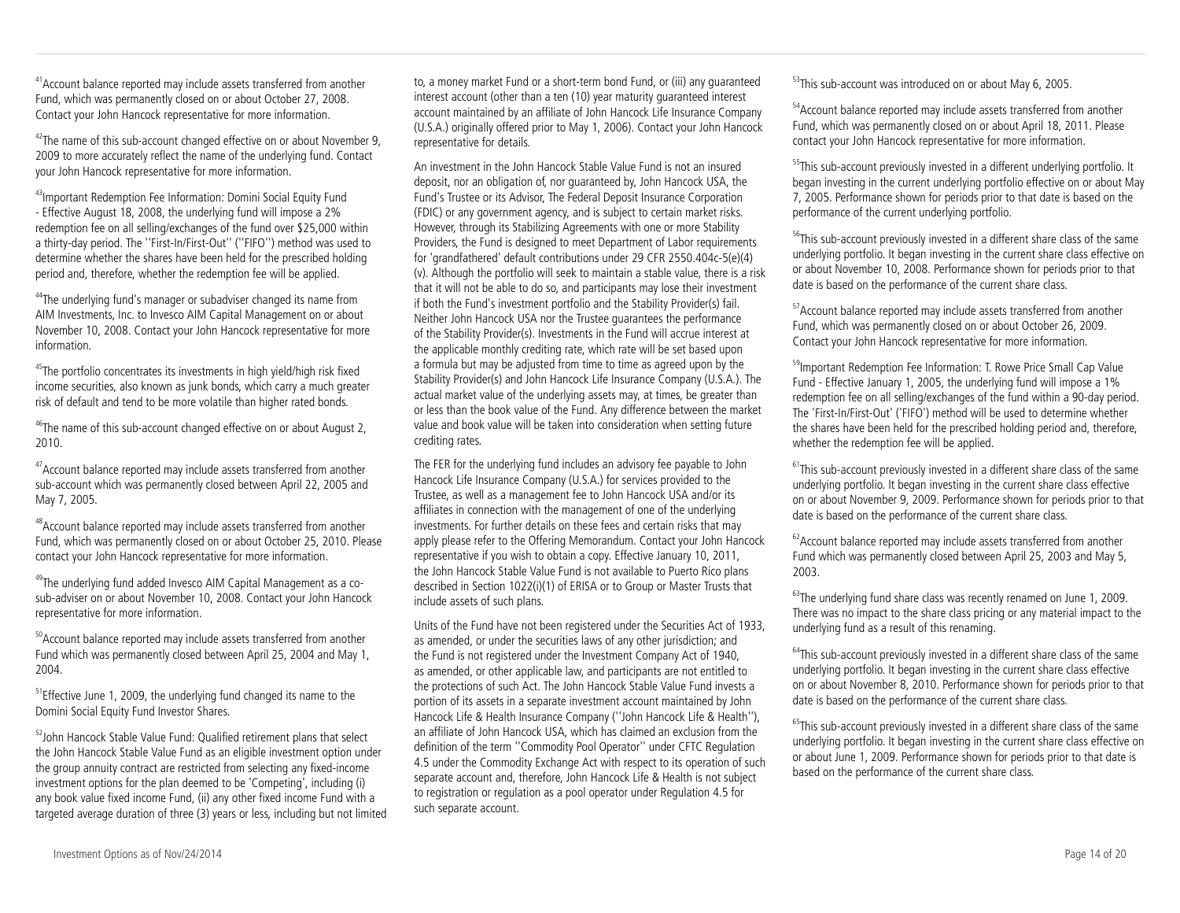<sup>41</sup> Account balance reported may include assets transferred from another Fund, which was permanently closed on or about October 27, 2008. Contact your John Hancock representative for more information.

 $42$ The name of this sub-account changed effective on or about November 9, 2009 to more accurately reflect the name of the underlying fund. Contact your John Hancock representative for more information.

43Important Redemption Fee Information: Domini Social Equity Fund - Effective August 18, 2008, the underlying fund will impose a 2% redemption fee on all selling/exchanges of the fund over \$25,000 within a thirty-day period. The ''First-In/First-Out'' (''FIFO'') method was used to determine whether the shares have been held for the prescribed holding period and, therefore, whether the redemption fee will be applied.

<sup>44</sup>The underlying fund's manager or subadviser changed its name from AIM Investments, Inc. to Invesco AIM Capital Management on or about November 10, 2008. Contact your John Hancock representative for more information.

<sup>45</sup>The portfolio concentrates its investments in high yield/high risk fixed income securities, also known as junk bonds, which carry a much greater risk of default and tend to be more volatile than higher rated bonds.

<sup>46</sup>The name of this sub-account changed effective on or about August 2, 2010.

<sup>47</sup> Account balance reported may include assets transferred from another sub-account which was permanently closed between April 22, 2005 and May 7, 2005.

<sup>48</sup>Account balance reported may include assets transferred from another Fund, which was permanently closed on or about October 25, 2010. Please contact your John Hancock representative for more information.

49The underlying fund added Invesco AIM Capital Management as a cosub-adviser on or about November 10, 2008. Contact your John Hancock representative for more information.

<sup>50</sup> Account balance reported may include assets transferred from another Fund which was permanently closed between April 25, 2004 and May 1, 2004.

<sup>51</sup>Effective June 1, 2009, the underlying fund changed its name to the Domini Social Equity Fund Investor Shares.

<sup>52</sup>John Hancock Stable Value Fund: Qualified retirement plans that select the John Hancock Stable Value Fund as an eligible investment option under the group annuity contract are restricted from selecting any fixed-income investment options for the plan deemed to be 'Competing', including (i) any book value fixed income Fund, (ii) any other fixed income Fund with a targeted average duration of three (3) years or less, including but not limited to, a money market Fund or a short-term bond Fund, or (iii) any guaranteed interest account (other than a ten (10) year maturity guaranteed interest account maintained by an affiliate of John Hancock Life Insurance Company (U.S.A.) originally offered prior to May 1, 2006). Contact your John Hancock representative for details.

An investment in the John Hancock Stable Value Fund is not an insured deposit, nor an obligation of, nor guaranteed by, John Hancock USA, the Fund's Trustee or its Advisor, The Federal Deposit Insurance Corporation (FDIC) or any government agency, and is subject to certain market risks. However, through its Stabilizing Agreements with one or more Stability Providers, the Fund is designed to meet Department of Labor requirements for 'grandfathered' default contributions under 29 CFR 2550.404c-5(e)(4) (v). Although the portfolio will seek to maintain a stable value, there is a risk that it will not be able to do so, and participants may lose their investment if both the Fund's investment portfolio and the Stability Provider(s) fail. Neither John Hancock USA nor the Trustee guarantees the performance of the Stability Provider(s). Investments in the Fund will accrue interest at the applicable monthly crediting rate, which rate will be set based upon a formula but may be adjusted from time to time as agreed upon by the Stability Provider(s) and John Hancock Life Insurance Company (U.S.A.). The actual market value of the underlying assets may, at times, be greater than or less than the book value of the Fund. Any difference between the market value and book value will be taken into consideration when setting future crediting rates.

The FER for the underlying fund includes an advisory fee payable to John Hancock Life Insurance Company (U.S.A.) for services provided to the Trustee, as well as a management fee to John Hancock USA and/or its affiliates in connection with the management of one of the underlying investments. For further details on these fees and certain risks that may apply please refer to the Offering Memorandum. Contact your John Hancock representative if you wish to obtain a copy. Effective January 10, 2011, the John Hancock Stable Value Fund is not available to Puerto Rico plans described in Section 1022(i)(1) of ERISA or to Group or Master Trusts that include assets of such plans.

Units of the Fund have not been registered under the Securities Act of 1933, as amended, or under the securities laws of any other jurisdiction; and the Fund is not registered under the Investment Company Act of 1940, as amended, or other applicable law, and participants are not entitled to the protections of such Act. The John Hancock Stable Value Fund invests a portion of its assets in a separate investment account maintained by John Hancock Life & Health Insurance Company (''John Hancock Life & Health''), an affiliate of John Hancock USA, which has claimed an exclusion from the definition of the term ''Commodity Pool Operator'' under CFTC Regulation 4.5 under the Commodity Exchange Act with respect to its operation of such separate account and, therefore, John Hancock Life & Health is not subject to registration or regulation as a pool operator under Regulation 4.5 for such separate account.

<sup>53</sup>This sub-account was introduced on or about May 6, 2005.

<sup>54</sup> Account balance reported may include assets transferred from another Fund, which was permanently closed on or about April 18, 2011. Please contact your John Hancock representative for more information.

<sup>55</sup>This sub-account previously invested in a different underlying portfolio. It began investing in the current underlying portfolio effective on or about May 7, 2005. Performance shown for periods prior to that date is based on the performance of the current underlying portfolio.

<sup>56</sup>This sub-account previously invested in a different share class of the same underlying portfolio. It began investing in the current share class effective on or about November 10, 2008. Performance shown for periods prior to that date is based on the performance of the current share class.

<sup>57</sup>Account balance reported may include assets transferred from another Fund, which was permanently closed on or about October 26, 2009. Contact your John Hancock representative for more information.

<sup>59</sup>Important Redemption Fee Information: T. Rowe Price Small Cap Value Fund - Effective January 1, 2005, the underlying fund will impose a 1% redemption fee on all selling/exchanges of the fund within a 90-day period. The 'First-In/First-Out' ('FIFO') method will be used to determine whether the shares have been held for the prescribed holding period and, therefore, whether the redemption fee will be applied.

 $61$ This sub-account previously invested in a different share class of the same underlying portfolio. It began investing in the current share class effective on or about November 9, 2009. Performance shown for periods prior to that date is based on the performance of the current share class.

 $62$  Account balance reported may include assets transferred from another Fund which was permanently closed between April 25, 2003 and May 5, 2003.

<sup>63</sup>The underlying fund share class was recently renamed on June 1, 2009. There was no impact to the share class pricing or any material impact to the underlying fund as a result of this renaming.

 $64$ This sub-account previously invested in a different share class of the same underlying portfolio. It began investing in the current share class effective on or about November 8, 2010. Performance shown for periods prior to that date is based on the performance of the current share class.

<sup>65</sup>This sub-account previously invested in a different share class of the same underlying portfolio. It began investing in the current share class effective on or about June 1, 2009. Performance shown for periods prior to that date is based on the performance of the current share class.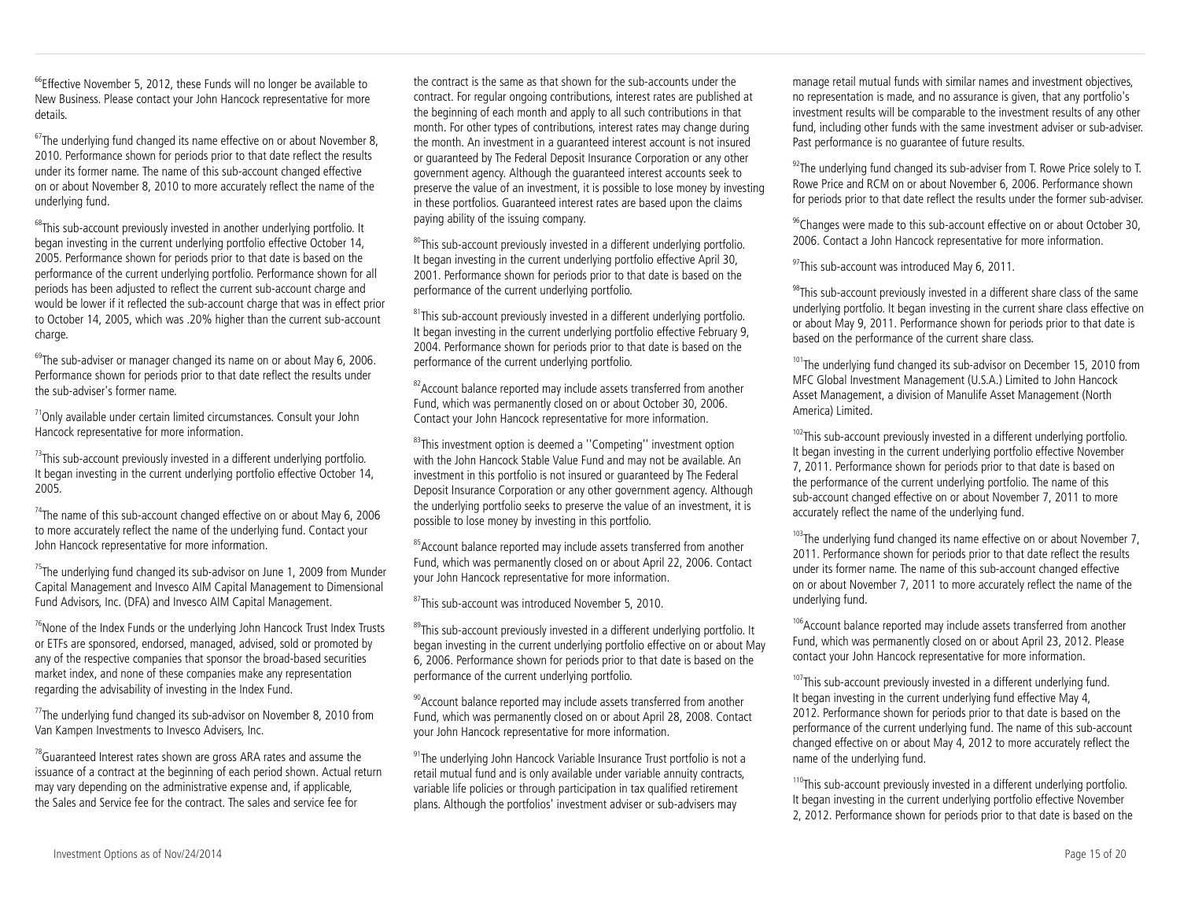$66$ Effective November 5, 2012, these Funds will no longer be available to New Business. Please contact your John Hancock representative for more details.

 $67$ The underlying fund changed its name effective on or about November 8, 2010. Performance shown for periods prior to that date reflect the results under its former name. The name of this sub-account changed effective on or about November 8, 2010 to more accurately reflect the name of the underlying fund.

 $68$ This sub-account previously invested in another underlying portfolio. It began investing in the current underlying portfolio effective October 14, 2005. Performance shown for periods prior to that date is based on the performance of the current underlying portfolio. Performance shown for all periods has been adjusted to reflect the current sub-account charge and would be lower if it reflected the sub-account charge that was in effect prior to October 14, 2005, which was .20% higher than the current sub-account charge.

 $^{69}$ The sub-adviser or manager changed its name on or about May 6, 2006. Performance shown for periods prior to that date reflect the results under the sub-adviser's former name.

 $71$ Only available under certain limited circumstances. Consult your John Hancock representative for more information.

 $73$ This sub-account previously invested in a different underlying portfolio. It began investing in the current underlying portfolio effective October 14, 2005.

 $74$ The name of this sub-account changed effective on or about May 6, 2006 to more accurately reflect the name of the underlying fund. Contact your John Hancock representative for more information.

 $75$ The underlying fund changed its sub-advisor on June 1, 2009 from Munder Capital Management and Invesco AIM Capital Management to Dimensional Fund Advisors, Inc. (DFA) and Invesco AIM Capital Management.

<sup>76</sup>None of the Index Funds or the underlying John Hancock Trust Index Trusts or ETFs are sponsored, endorsed, managed, advised, sold or promoted by any of the respective companies that sponsor the broad-based securities market index, and none of these companies make any representation regarding the advisability of investing in the Index Fund.

 $77$ The underlying fund changed its sub-advisor on November 8, 2010 from Van Kampen Investments to Invesco Advisers, Inc.

 $78$ Guaranteed Interest rates shown are gross ARA rates and assume the issuance of a contract at the beginning of each period shown. Actual return may vary depending on the administrative expense and, if applicable, the Sales and Service fee for the contract. The sales and service fee for

the contract is the same as that shown for the sub-accounts under the contract. For regular ongoing contributions, interest rates are published at the beginning of each month and apply to all such contributions in that month. For other types of contributions, interest rates may change during the month. An investment in a guaranteed interest account is not insured or guaranteed by The Federal Deposit Insurance Corporation or any other government agency. Although the guaranteed interest accounts seek to preserve the value of an investment, it is possible to lose money by investing in these portfolios. Guaranteed interest rates are based upon the claims paying ability of the issuing company.

<sup>80</sup>This sub-account previously invested in a different underlying portfolio. It began investing in the current underlying portfolio effective April 30, 2001. Performance shown for periods prior to that date is based on the performance of the current underlying portfolio.

<sup>81</sup>This sub-account previously invested in a different underlying portfolio. It began investing in the current underlying portfolio effective February 9, 2004. Performance shown for periods prior to that date is based on the performance of the current underlying portfolio.

 $82$  Account balance reported may include assets transferred from another Fund, which was permanently closed on or about October 30, 2006. Contact your John Hancock representative for more information.

<sup>83</sup>This investment option is deemed a "Competing" investment option with the John Hancock Stable Value Fund and may not be available. An investment in this portfolio is not insured or guaranteed by The Federal Deposit Insurance Corporation or any other government agency. Although the underlying portfolio seeks to preserve the value of an investment, it is possible to lose money by investing in this portfolio.

<sup>85</sup> Account balance reported may include assets transferred from another Fund, which was permanently closed on or about April 22, 2006. Contact your John Hancock representative for more information.

<sup>87</sup>This sub-account was introduced November 5, 2010.

<sup>89</sup>This sub-account previously invested in a different underlying portfolio. It began investing in the current underlying portfolio effective on or about May 6, 2006. Performance shown for periods prior to that date is based on the performance of the current underlying portfolio.

<sup>90</sup> Account balance reported may include assets transferred from another Fund, which was permanently closed on or about April 28, 2008. Contact your John Hancock representative for more information.

<sup>91</sup>The underlying John Hancock Variable Insurance Trust portfolio is not a retail mutual fund and is only available under variable annuity contracts, variable life policies or through participation in tax qualified retirement plans. Although the portfolios' investment adviser or sub-advisers may

manage retail mutual funds with similar names and investment objectives, no representation is made, and no assurance is given, that any portfolio's investment results will be comparable to the investment results of any other fund, including other funds with the same investment adviser or sub-adviser. Past performance is no guarantee of future results.

 $92$ The underlying fund changed its sub-adviser from T. Rowe Price solely to T. Rowe Price and RCM on or about November 6, 2006. Performance shown for periods prior to that date reflect the results under the former sub-adviser.

<sup>96</sup>Changes were made to this sub-account effective on or about October 30, 2006. Contact a John Hancock representative for more information.

 $97$ This sub-account was introduced May 6, 2011.

<sup>98</sup>This sub-account previously invested in a different share class of the same underlying portfolio. It began investing in the current share class effective on or about May 9, 2011. Performance shown for periods prior to that date is based on the performance of the current share class.

<sup>101</sup>The underlying fund changed its sub-advisor on December 15, 2010 from MFC Global Investment Management (U.S.A.) Limited to John Hancock Asset Management, a division of Manulife Asset Management (North America) Limited.

 $102$ This sub-account previously invested in a different underlying portfolio. It began investing in the current underlying portfolio effective November 7, 2011. Performance shown for periods prior to that date is based on the performance of the current underlying portfolio. The name of this sub-account changed effective on or about November 7, 2011 to more accurately reflect the name of the underlying fund.

 $103$ The underlying fund changed its name effective on or about November 7, 2011. Performance shown for periods prior to that date reflect the results under its former name. The name of this sub-account changed effective on or about November 7, 2011 to more accurately reflect the name of the underlying fund.

<sup>106</sup> Account balance reported may include assets transferred from another Fund, which was permanently closed on or about April 23, 2012. Please contact your John Hancock representative for more information.

 $107$ This sub-account previously invested in a different underlying fund. It began investing in the current underlying fund effective May 4, 2012. Performance shown for periods prior to that date is based on the performance of the current underlying fund. The name of this sub-account changed effective on or about May 4, 2012 to more accurately reflect the name of the underlying fund.

<sup>110</sup>This sub-account previously invested in a different underlying portfolio. It began investing in the current underlying portfolio effective November 2, 2012. Performance shown for periods prior to that date is based on the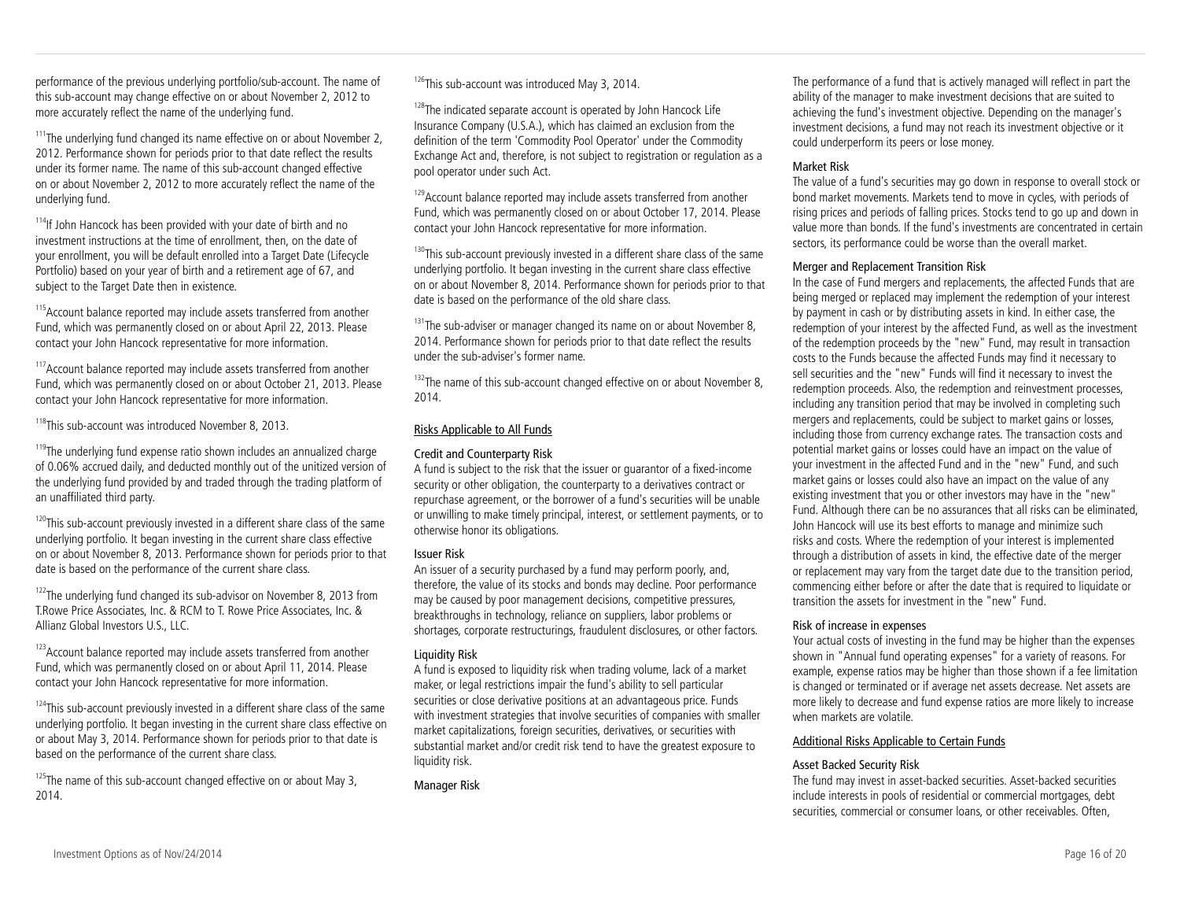performance of the previous underlying portfolio/sub-account. The name of this sub-account may change effective on or about November 2, 2012 to more accurately reflect the name of the underlying fund.

<sup>111</sup>The underlying fund changed its name effective on or about November 2, 2012. Performance shown for periods prior to that date reflect the results under its former name. The name of this sub-account changed effective on or about November 2, 2012 to more accurately reflect the name of the underlying fund.

<sup>114</sup>If John Hancock has been provided with your date of birth and no investment instructions at the time of enrollment, then, on the date of your enrollment, you will be default enrolled into a Target Date (Lifecycle Portfolio) based on your year of birth and a retirement age of 67, and subject to the Target Date then in existence.

<sup>115</sup> Account balance reported may include assets transferred from another Fund, which was permanently closed on or about April 22, 2013. Please contact your John Hancock representative for more information.

<sup>117</sup> Account balance reported may include assets transferred from another Fund, which was permanently closed on or about October 21, 2013. Please contact your John Hancock representative for more information.

<sup>118</sup>This sub-account was introduced November 8, 2013.

<sup>119</sup>The underlying fund expense ratio shown includes an annualized charge of 0.06% accrued daily, and deducted monthly out of the unitized version of the underlying fund provided by and traded through the trading platform of an unaffiliated third party.

 $120$ This sub-account previously invested in a different share class of the same underlying portfolio. It began investing in the current share class effective on or about November 8, 2013. Performance shown for periods prior to that date is based on the performance of the current share class.

<sup>122</sup>The underlying fund changed its sub-advisor on November 8, 2013 from T.Rowe Price Associates, Inc. & RCM to T. Rowe Price Associates, Inc. & Allianz Global Investors U.S., LLC.

<sup>123</sup> Account balance reported may include assets transferred from another Fund, which was permanently closed on or about April 11, 2014. Please contact your John Hancock representative for more information.

 $124$ This sub-account previously invested in a different share class of the same underlying portfolio. It began investing in the current share class effective on or about May 3, 2014. Performance shown for periods prior to that date is based on the performance of the current share class.

 $125$ The name of this sub-account changed effective on or about May 3, 2014.

 $126$ This sub-account was introduced May 3, 2014.

<sup>128</sup>The indicated separate account is operated by John Hancock Life Insurance Company (U.S.A.), which has claimed an exclusion from the definition of the term 'Commodity Pool Operator' under the Commodity Exchange Act and, therefore, is not subject to registration or regulation as a pool operator under such Act.

<sup>129</sup> Account balance reported may include assets transferred from another Fund, which was permanently closed on or about October 17, 2014. Please contact your John Hancock representative for more information.

<sup>130</sup>This sub-account previously invested in a different share class of the same underlying portfolio. It began investing in the current share class effective on or about November 8, 2014. Performance shown for periods prior to that date is based on the performance of the old share class.

 $131$ The sub-adviser or manager changed its name on or about November 8, 2014. Performance shown for periods prior to that date reflect the results under the sub-adviser's former name.

<sup>132</sup>The name of this sub-account changed effective on or about November 8, 2014.

### Risks Applicable to All Funds

### Credit and Counterparty Risk

A fund is subject to the risk that the issuer or guarantor of a fixed-income security or other obligation, the counterparty to a derivatives contract or repurchase agreement, or the borrower of a fund's securities will be unable or unwilling to make timely principal, interest, or settlement payments, or to otherwise honor its obligations.

### Issuer Risk

An issuer of a security purchased by a fund may perform poorly, and, therefore, the value of its stocks and bonds may decline. Poor performance may be caused by poor management decisions, competitive pressures, breakthroughs in technology, reliance on suppliers, labor problems or shortages, corporate restructurings, fraudulent disclosures, or other factors.

### Liquidity Risk

A fund is exposed to liquidity risk when trading volume, lack of a market maker, or legal restrictions impair the fund's ability to sell particular securities or close derivative positions at an advantageous price. Funds with investment strategies that involve securities of companies with smaller market capitalizations, foreign securities, derivatives, or securities with substantial market and/or credit risk tend to have the greatest exposure to liquidity risk.

Manager Risk

The performance of a fund that is actively managed will reflect in part the ability of the manager to make investment decisions that are suited to achieving the fund's investment objective. Depending on the manager's investment decisions, a fund may not reach its investment objective or it could underperform its peers or lose money.

#### Market Risk

The value of a fund's securities may go down in response to overall stock or bond market movements. Markets tend to move in cycles, with periods of rising prices and periods of falling prices. Stocks tend to go up and down in value more than bonds. If the fund's investments are concentrated in certain sectors, its performance could be worse than the overall market.

### Merger and Replacement Transition Risk

In the case of Fund mergers and replacements, the affected Funds that are being merged or replaced may implement the redemption of your interest by payment in cash or by distributing assets in kind. In either case, the redemption of your interest by the affected Fund, as well as the investment of the redemption proceeds by the "new" Fund, may result in transaction costs to the Funds because the affected Funds may find it necessary to sell securities and the "new" Funds will find it necessary to invest the redemption proceeds. Also, the redemption and reinvestment processes, including any transition period that may be involved in completing such mergers and replacements, could be subject to market gains or losses, including those from currency exchange rates. The transaction costs and potential market gains or losses could have an impact on the value of your investment in the affected Fund and in the "new" Fund, and such market gains or losses could also have an impact on the value of any existing investment that you or other investors may have in the "new" Fund. Although there can be no assurances that all risks can be eliminated, John Hancock will use its best efforts to manage and minimize such risks and costs. Where the redemption of your interest is implemented through a distribution of assets in kind, the effective date of the merger or replacement may vary from the target date due to the transition period, commencing either before or after the date that is required to liquidate or transition the assets for investment in the "new" Fund.

### Risk of increase in expenses

Your actual costs of investing in the fund may be higher than the expenses shown in "Annual fund operating expenses" for a variety of reasons. For example, expense ratios may be higher than those shown if a fee limitation is changed or terminated or if average net assets decrease. Net assets are more likely to decrease and fund expense ratios are more likely to increase when markets are volatile.

### Additional Risks Applicable to Certain Funds

### Asset Backed Security Risk

The fund may invest in asset-backed securities. Asset-backed securities include interests in pools of residential or commercial mortgages, debt securities, commercial or consumer loans, or other receivables. Often,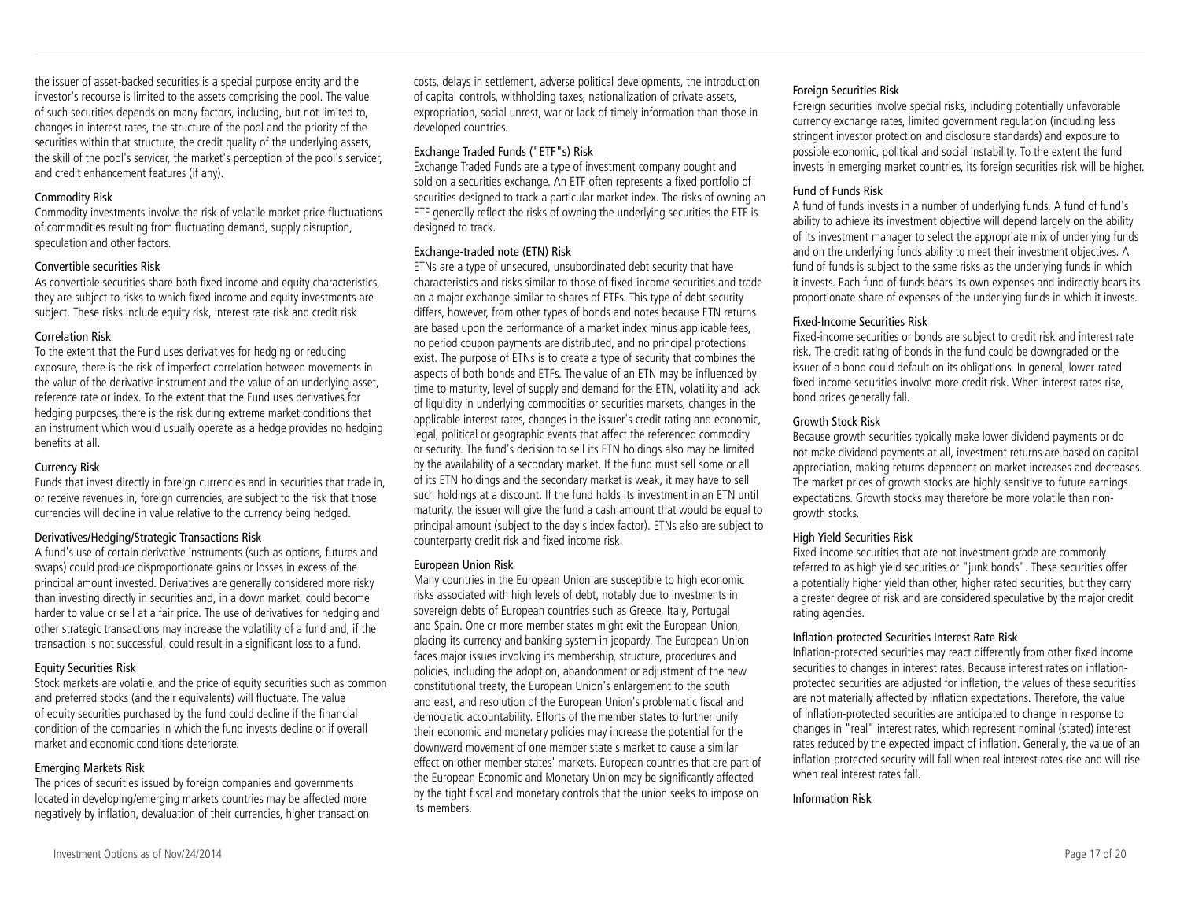the issuer of asset-backed securities is a special purpose entity and the investor's recourse is limited to the assets comprising the pool. The value of such securities depends on many factors, including, but not limited to, changes in interest rates, the structure of the pool and the priority of the securities within that structure, the credit quality of the underlying assets, the skill of the pool's servicer, the market's perception of the pool's servicer, and credit enhancement features (if any).

#### Commodity Risk

Commodity investments involve the risk of volatile market price fluctuations of commodities resulting from fluctuating demand, supply disruption, speculation and other factors.

#### Convertible securities Risk

As convertible securities share both fixed income and equity characteristics, they are subject to risks to which fixed income and equity investments are subject. These risks include equity risk, interest rate risk and credit risk

#### Correlation Risk

To the extent that the Fund uses derivatives for hedging or reducing exposure, there is the risk of imperfect correlation between movements in the value of the derivative instrument and the value of an underlying asset, reference rate or index. To the extent that the Fund uses derivatives for hedging purposes, there is the risk during extreme market conditions that an instrument which would usually operate as a hedge provides no hedging benefits at all.

#### Currency Risk

Funds that invest directly in foreign currencies and in securities that trade in, or receive revenues in, foreign currencies, are subject to the risk that those currencies will decline in value relative to the currency being hedged.

#### Derivatives/Hedging/Strategic Transactions Risk

A fund's use of certain derivative instruments (such as options, futures and swaps) could produce disproportionate gains or losses in excess of the principal amount invested. Derivatives are generally considered more risky than investing directly in securities and, in a down market, could become harder to value or sell at a fair price. The use of derivatives for hedging and other strategic transactions may increase the volatility of a fund and, if the transaction is not successful, could result in a significant loss to a fund.

#### Equity Securities Risk

Stock markets are volatile, and the price of equity securities such as common and preferred stocks (and their equivalents) will fluctuate. The value of equity securities purchased by the fund could decline if the financial condition of the companies in which the fund invests decline or if overall market and economic conditions deteriorate.

#### Emerging Markets Risk

The prices of securities issued by foreign companies and governments located in developing/emerging markets countries may be affected more negatively by inflation, devaluation of their currencies, higher transaction

#### Exchange Traded Funds ("ETF"s) Risk

Exchange Traded Funds are a type of investment company bought and sold on a securities exchange. An ETF often represents a fixed portfolio of securities designed to track a particular market index. The risks of owning an ETF generally reflect the risks of owning the underlying securities the ETF is designed to track.

#### Exchange-traded note (ETN) Risk

ETNs are a type of unsecured, unsubordinated debt security that have characteristics and risks similar to those of fixed-income securities and trade on a major exchange similar to shares of ETFs. This type of debt security differs, however, from other types of bonds and notes because ETN returns are based upon the performance of a market index minus applicable fees, no period coupon payments are distributed, and no principal protections exist. The purpose of ETNs is to create a type of security that combines the aspects of both bonds and ETFs. The value of an ETN may be influenced by time to maturity, level of supply and demand for the ETN, volatility and lack of liquidity in underlying commodities or securities markets, changes in the applicable interest rates, changes in the issuer's credit rating and economic, legal, political or geographic events that affect the referenced commodity or security. The fund's decision to sell its ETN holdings also may be limited by the availability of a secondary market. If the fund must sell some or all of its ETN holdings and the secondary market is weak, it may have to sell such holdings at a discount. If the fund holds its investment in an ETN until maturity, the issuer will give the fund a cash amount that would be equal to principal amount (subject to the day's index factor). ETNs also are subject to counterparty credit risk and fixed income risk.

#### European Union Risk

Many countries in the European Union are susceptible to high economic risks associated with high levels of debt, notably due to investments in sovereign debts of European countries such as Greece, Italy, Portugal and Spain. One or more member states might exit the European Union, placing its currency and banking system in jeopardy. The European Union faces major issues involving its membership, structure, procedures and policies, including the adoption, abandonment or adjustment of the new constitutional treaty, the European Union's enlargement to the south and east, and resolution of the European Union's problematic fiscal and democratic accountability. Efforts of the member states to further unify their economic and monetary policies may increase the potential for the downward movement of one member state's market to cause a similar effect on other member states' markets. European countries that are part of the European Economic and Monetary Union may be significantly affected by the tight fiscal and monetary controls that the union seeks to impose on its members.

#### Foreign Securities Risk

Foreign securities involve special risks, including potentially unfavorable currency exchange rates, limited government regulation (including less stringent investor protection and disclosure standards) and exposure to possible economic, political and social instability. To the extent the fund invests in emerging market countries, its foreign securities risk will be higher.

#### Fund of Funds Risk

A fund of funds invests in a number of underlying funds. A fund of fund's ability to achieve its investment objective will depend largely on the ability of its investment manager to select the appropriate mix of underlying funds and on the underlying funds ability to meet their investment objectives. A fund of funds is subject to the same risks as the underlying funds in which it invests. Each fund of funds bears its own expenses and indirectly bears its proportionate share of expenses of the underlying funds in which it invests.

#### Fixed-Income Securities Risk

Fixed-income securities or bonds are subject to credit risk and interest rate risk. The credit rating of bonds in the fund could be downgraded or the issuer of a bond could default on its obligations. In general, lower-rated fixed-income securities involve more credit risk. When interest rates rise, bond prices generally fall.

#### Growth Stock Risk

Because growth securities typically make lower dividend payments or do not make dividend payments at all, investment returns are based on capital appreciation, making returns dependent on market increases and decreases. The market prices of growth stocks are highly sensitive to future earnings expectations. Growth stocks may therefore be more volatile than nongrowth stocks.

#### High Yield Securities Risk

Fixed-income securities that are not investment grade are commonly referred to as high yield securities or "junk bonds". These securities offer a potentially higher yield than other, higher rated securities, but they carry a greater degree of risk and are considered speculative by the major credit rating agencies.

#### Inflation-protected Securities Interest Rate Risk

Inflation-protected securities may react differently from other fixed income securities to changes in interest rates. Because interest rates on inflationprotected securities are adjusted for inflation, the values of these securities are not materially affected by inflation expectations. Therefore, the value of inflation-protected securities are anticipated to change in response to changes in "real" interest rates, which represent nominal (stated) interest rates reduced by the expected impact of inflation. Generally, the value of an inflation-protected security will fall when real interest rates rise and will rise when real interest rates fall.

Information Risk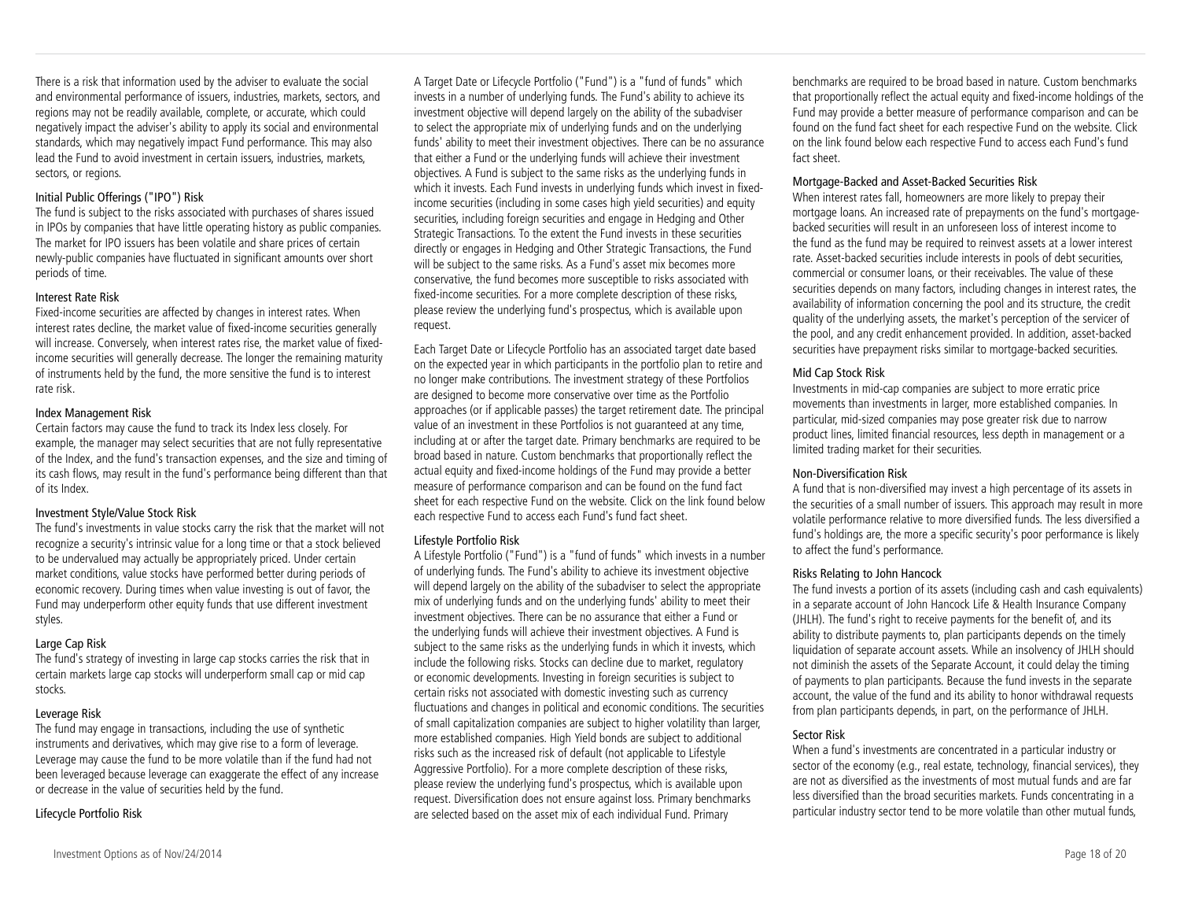There is a risk that information used by the adviser to evaluate the social and environmental performance of issuers, industries, markets, sectors, and regions may not be readily available, complete, or accurate, which could negatively impact the adviser's ability to apply its social and environmental standards, which may negatively impact Fund performance. This may also lead the Fund to avoid investment in certain issuers, industries, markets, sectors, or regions.

#### Initial Public Offerings ("IPO") Risk

The fund is subject to the risks associated with purchases of shares issued in IPOs by companies that have little operating history as public companies. The market for IPO issuers has been volatile and share prices of certain newly-public companies have fluctuated in significant amounts over short periods of time.

#### Interest Rate Risk

Fixed-income securities are affected by changes in interest rates. When interest rates decline, the market value of fixed-income securities generally will increase. Conversely, when interest rates rise, the market value of fixedincome securities will generally decrease. The longer the remaining maturity of instruments held by the fund, the more sensitive the fund is to interest rate risk.

#### Index Management Risk

Certain factors may cause the fund to track its Index less closely. For example, the manager may select securities that are not fully representative of the Index, and the fund's transaction expenses, and the size and timing of its cash flows, may result in the fund's performance being different than that of its Index.

#### Investment Style/Value Stock Risk

The fund's investments in value stocks carry the risk that the market will not recognize a security's intrinsic value for a long time or that a stock believed to be undervalued may actually be appropriately priced. Under certain market conditions, value stocks have performed better during periods of economic recovery. During times when value investing is out of favor, the Fund may underperform other equity funds that use different investment styles.

#### Large Cap Risk

The fund's strategy of investing in large cap stocks carries the risk that in certain markets large cap stocks will underperform small cap or mid cap stocks.

#### Leverage Risk

The fund may engage in transactions, including the use of synthetic instruments and derivatives, which may give rise to a form of leverage. Leverage may cause the fund to be more volatile than if the fund had not been leveraged because leverage can exaggerate the effect of any increase or decrease in the value of securities held by the fund.

### Lifecycle Portfolio Risk

A Target Date or Lifecycle Portfolio ("Fund") is a "fund of funds" which invests in a number of underlying funds. The Fund's ability to achieve its investment objective will depend largely on the ability of the subadviser to select the appropriate mix of underlying funds and on the underlying funds' ability to meet their investment objectives. There can be no assurance that either a Fund or the underlying funds will achieve their investment objectives. A Fund is subject to the same risks as the underlying funds in which it invests. Each Fund invests in underlying funds which invest in fixedincome securities (including in some cases high yield securities) and equity securities, including foreign securities and engage in Hedging and Other Strategic Transactions. To the extent the Fund invests in these securities directly or engages in Hedging and Other Strategic Transactions, the Fund will be subject to the same risks. As a Fund's asset mix becomes more conservative, the fund becomes more susceptible to risks associated with fixed-income securities. For a more complete description of these risks, please review the underlying fund's prospectus, which is available upon request.

Each Target Date or Lifecycle Portfolio has an associated target date based on the expected year in which participants in the portfolio plan to retire and no longer make contributions. The investment strategy of these Portfolios are designed to become more conservative over time as the Portfolio approaches (or if applicable passes) the target retirement date. The principal value of an investment in these Portfolios is not guaranteed at any time, including at or after the target date. Primary benchmarks are required to be broad based in nature. Custom benchmarks that proportionally reflect the actual equity and fixed-income holdings of the Fund may provide a better measure of performance comparison and can be found on the fund fact sheet for each respective Fund on the website. Click on the link found below each respective Fund to access each Fund's fund fact sheet.

#### Lifestyle Portfolio Risk

A Lifestyle Portfolio ("Fund") is a "fund of funds" which invests in a number of underlying funds. The Fund's ability to achieve its investment objective will depend largely on the ability of the subadviser to select the appropriate mix of underlying funds and on the underlying funds' ability to meet their investment objectives. There can be no assurance that either a Fund or the underlying funds will achieve their investment objectives. A Fund is subject to the same risks as the underlying funds in which it invests, which include the following risks. Stocks can decline due to market, regulatory or economic developments. Investing in foreign securities is subject to certain risks not associated with domestic investing such as currency fluctuations and changes in political and economic conditions. The securities of small capitalization companies are subject to higher volatility than larger, more established companies. High Yield bonds are subject to additional risks such as the increased risk of default (not applicable to Lifestyle Aggressive Portfolio). For a more complete description of these risks, please review the underlying fund's prospectus, which is available upon request. Diversification does not ensure against loss. Primary benchmarks are selected based on the asset mix of each individual Fund. Primary

benchmarks are required to be broad based in nature. Custom benchmarks that proportionally reflect the actual equity and fixed-income holdings of the Fund may provide a better measure of performance comparison and can be found on the fund fact sheet for each respective Fund on the website. Click on the link found below each respective Fund to access each Fund's fund fact sheet.

#### Mortgage-Backed and Asset-Backed Securities Risk

When interest rates fall, homeowners are more likely to prepay their mortgage loans. An increased rate of prepayments on the fund's mortgagebacked securities will result in an unforeseen loss of interest income to the fund as the fund may be required to reinvest assets at a lower interest rate. Asset-backed securities include interests in pools of debt securities, commercial or consumer loans, or their receivables. The value of these securities depends on many factors, including changes in interest rates, the availability of information concerning the pool and its structure, the credit quality of the underlying assets, the market's perception of the servicer of the pool, and any credit enhancement provided. In addition, asset-backed securities have prepayment risks similar to mortgage-backed securities.

#### Mid Cap Stock Risk

Investments in mid-cap companies are subject to more erratic price movements than investments in larger, more established companies. In particular, mid-sized companies may pose greater risk due to narrow product lines, limited financial resources, less depth in management or a limited trading market for their securities.

#### Non-Diversification Risk

A fund that is non-diversified may invest a high percentage of its assets in the securities of a small number of issuers. This approach may result in more volatile performance relative to more diversified funds. The less diversified a fund's holdings are, the more a specific security's poor performance is likely to affect the fund's performance.

#### Risks Relating to John Hancock

The fund invests a portion of its assets (including cash and cash equivalents) in a separate account of John Hancock Life & Health Insurance Company (JHLH). The fund's right to receive payments for the benefit of, and its ability to distribute payments to, plan participants depends on the timely liquidation of separate account assets. While an insolvency of JHLH should not diminish the assets of the Separate Account, it could delay the timing of payments to plan participants. Because the fund invests in the separate account, the value of the fund and its ability to honor withdrawal requests from plan participants depends, in part, on the performance of JHLH.

#### Sector Risk

When a fund's investments are concentrated in a particular industry or sector of the economy (e.g., real estate, technology, financial services), they are not as diversified as the investments of most mutual funds and are far less diversified than the broad securities markets. Funds concentrating in a particular industry sector tend to be more volatile than other mutual funds,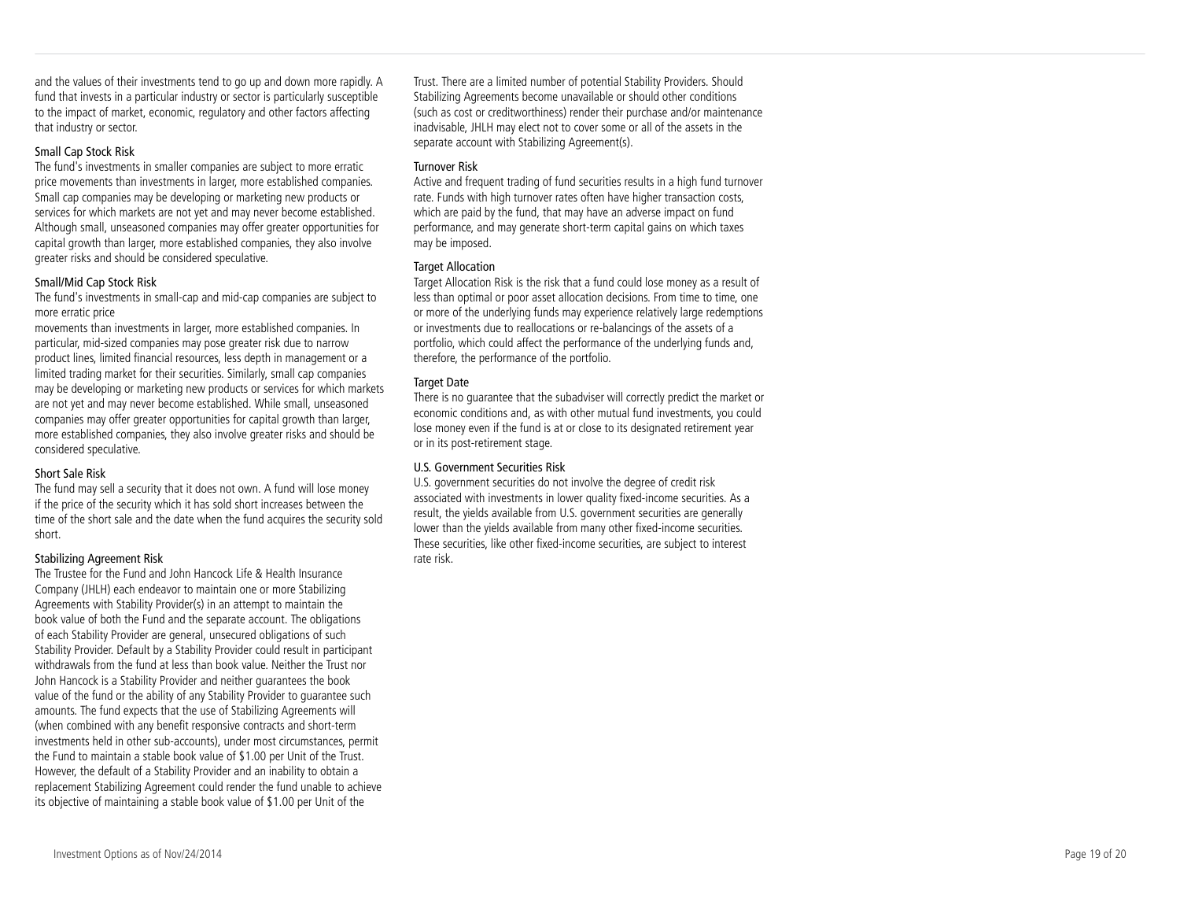and the values of their investments tend to go up and down more rapidly. A fund that invests in a particular industry or sector is particularly susceptible to the impact of market, economic, regulatory and other factors affecting that industry or sector.

#### Small Cap Stock Risk

The fund's investments in smaller companies are subject to more erratic price movements than investments in larger, more established companies. Small cap companies may be developing or marketing new products or services for which markets are not yet and may never become established. Although small, unseasoned companies may offer greater opportunities for capital growth than larger, more established companies, they also involve greater risks and should be considered speculative.

#### Small/Mid Cap Stock Risk

The fund's investments in small-cap and mid-cap companies are subject to more erratic price

movements than investments in larger, more established companies. In particular, mid-sized companies may pose greater risk due to narrow product lines, limited financial resources, less depth in management or a limited trading market for their securities. Similarly, small cap companies may be developing or marketing new products or services for which markets are not yet and may never become established. While small, unseasoned companies may offer greater opportunities for capital growth than larger, more established companies, they also involve greater risks and should be considered speculative.

#### Short Sale Risk

The fund may sell a security that it does not own. A fund will lose money if the price of the security which it has sold short increases between the time of the short sale and the date when the fund acquires the security sold short.

#### Stabilizing Agreement Risk

The Trustee for the Fund and John Hancock Life & Health Insurance Company (JHLH) each endeavor to maintain one or more Stabilizing Agreements with Stability Provider(s) in an attempt to maintain the book value of both the Fund and the separate account. The obligations of each Stability Provider are general, unsecured obligations of such Stability Provider. Default by a Stability Provider could result in participant withdrawals from the fund at less than book value. Neither the Trust nor John Hancock is a Stability Provider and neither guarantees the book value of the fund or the ability of any Stability Provider to guarantee such amounts. The fund expects that the use of Stabilizing Agreements will (when combined with any benefit responsive contracts and short-term investments held in other sub-accounts), under most circumstances, permit the Fund to maintain a stable book value of \$1.00 per Unit of the Trust. However, the default of a Stability Provider and an inability to obtain a replacement Stabilizing Agreement could render the fund unable to achieve its objective of maintaining a stable book value of \$1.00 per Unit of the

Trust. There are a limited number of potential Stability Providers. Should Stabilizing Agreements become unavailable or should other conditions (such as cost or creditworthiness) render their purchase and/or maintenance inadvisable, JHLH may elect not to cover some or all of the assets in the separate account with Stabilizing Agreement(s).

#### Turnover Risk

Active and frequent trading of fund securities results in a high fund turnover rate. Funds with high turnover rates often have higher transaction costs, which are paid by the fund, that may have an adverse impact on fund performance, and may generate short-term capital gains on which taxes may be imposed.

#### Target Allocation

Target Allocation Risk is the risk that a fund could lose money as a result of less than optimal or poor asset allocation decisions. From time to time, one or more of the underlying funds may experience relatively large redemptions or investments due to reallocations or re-balancings of the assets of a portfolio, which could affect the performance of the underlying funds and, therefore, the performance of the portfolio.

#### **Target Date**

There is no guarantee that the subadviser will correctly predict the market or economic conditions and, as with other mutual fund investments, you could lose money even if the fund is at or close to its designated retirement year or in its post-retirement stage.

#### U.S. Government Securities Risk

U.S. government securities do not involve the degree of credit risk associated with investments in lower quality fixed-income securities. As a result, the yields available from U.S. government securities are generally lower than the yields available from many other fixed-income securities. These securities, like other fixed-income securities, are subject to interest rate risk.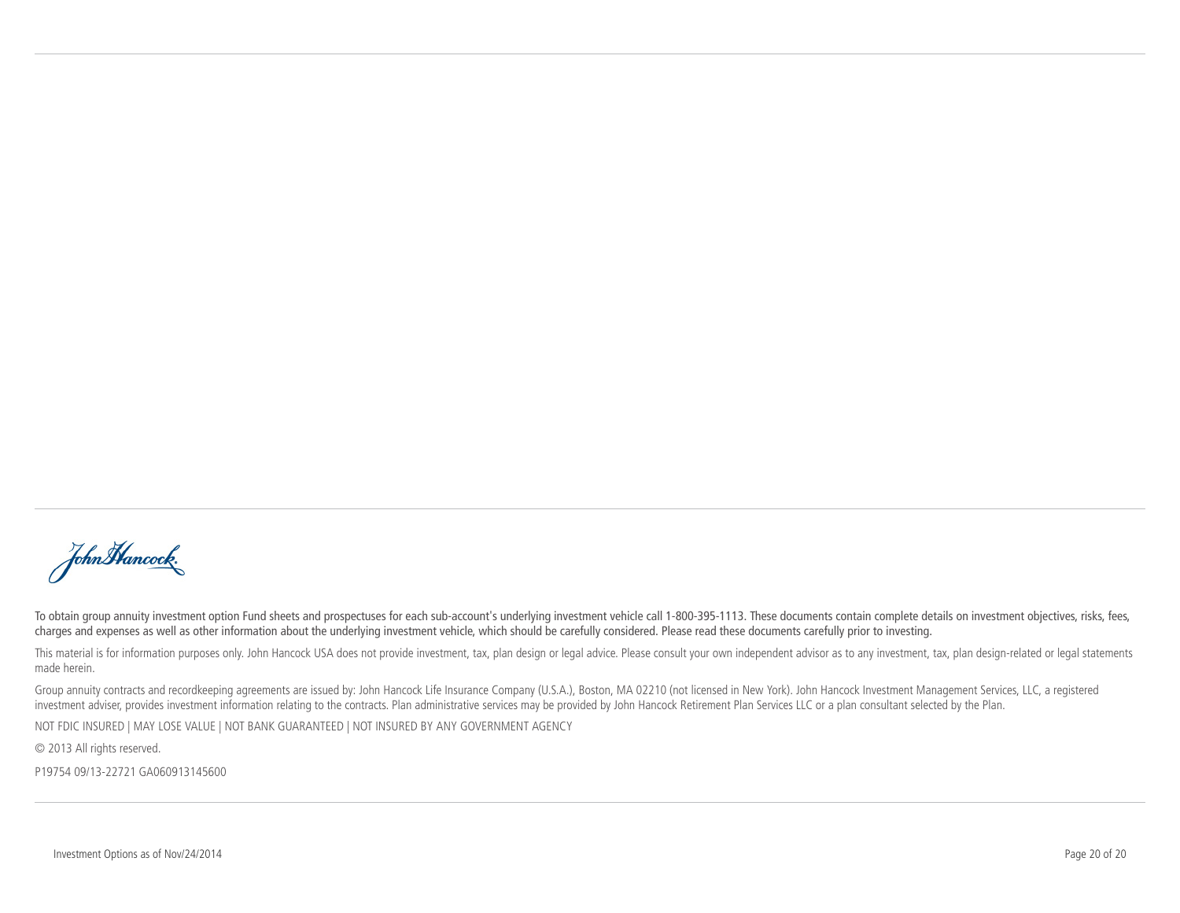John Hancock.

To obtain group annuity investment option Fund sheets and prospectuses for each sub-account's underlying investment vehicle call 1-800-395-1113. These documents contain complete details on investment objectives, risks, fee charges and expenses as well as other information about the underlying investment vehicle, which should be carefully considered. Please read these documents carefully prior to investing.

This material is for information purposes only. John Hancock USA does not provide investment, tax, plan design or legal advice. Please consult your own independent advisor as to any investment, tax, plan design-related or made herein.

Group annuity contracts and recordkeeping agreements are issued by: John Hancock Life Insurance Company (U.S.A.), Boston, MA 02210 (not licensed in New York). John Hancock Investment Management Services, LLC, a registered investment adviser, provides investment information relating to the contracts. Plan administrative services may be provided by John Hancock Retirement Plan Services LLC or a plan consultant selected by the Plan.

NOT FDIC INSURED | MAY LOSE VALUE | NOT BANK GUARANTEED | NOT INSURED BY ANY GOVERNMENT AGENCY

© 2013 All rights reserved.

P19754 09/13-22721 GA060913145600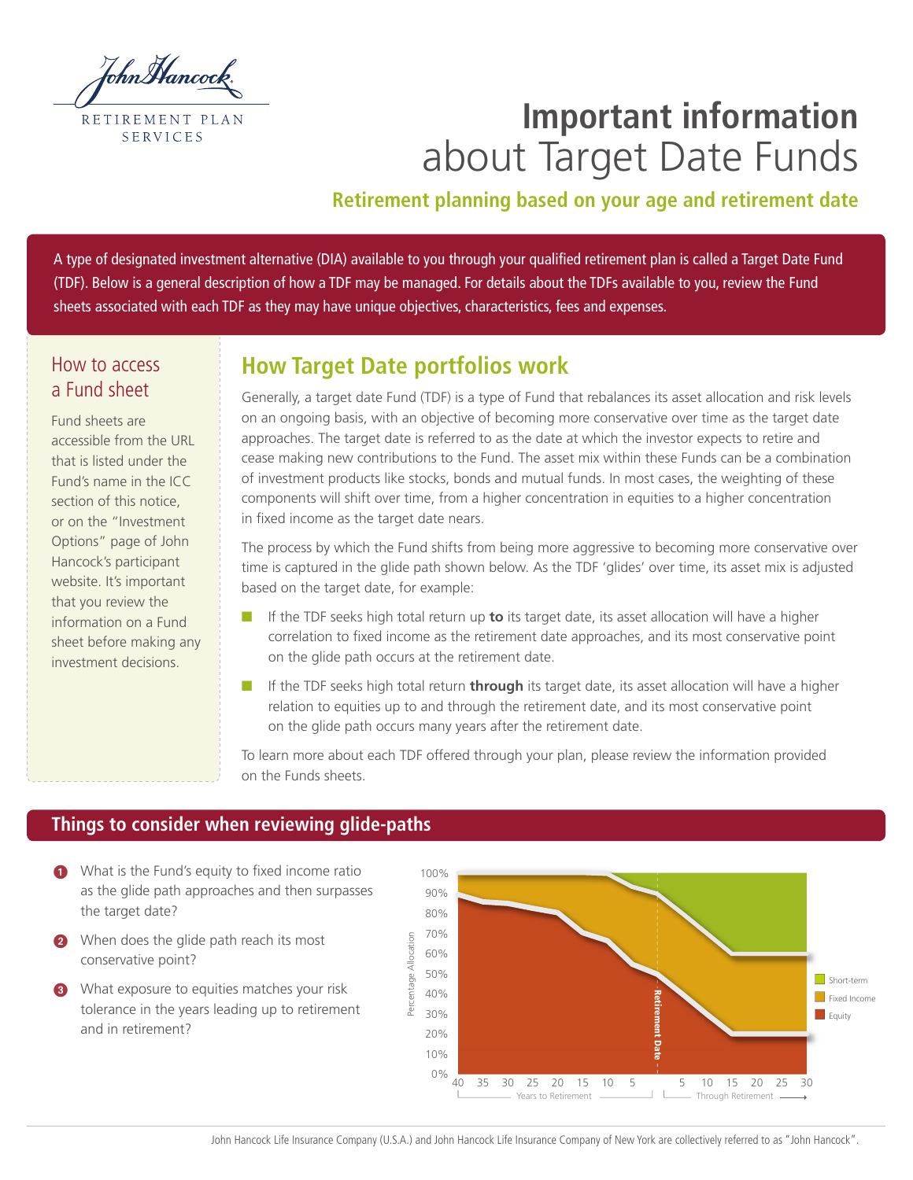

# **Important information** about Target Date Funds

# **Retirement planning based on your age and retirement date**

A type of designated investment alternative (DIA) available to you through your qualified retirement plan is called a Target Date Fund (TDF). Below is a general description of how a TDF may be managed. For details about the TDFs available to you, review the Fund sheets associated with each TDF as they may have unique objectives, characteristics, fees and expenses.

# How to access a Fund sheet

Fund sheets are accessible from the URL that is listed under the Fund's name in the ICC section of this notice, or on the "Investment Options" page of John Hancock's participant website. It's important that you review the information on a Fund sheet before making any investment decisions.

# **How Target Date portfolios work**

Generally, a target date Fund (TDF) is a type of Fund that rebalances its asset allocation and risk levels on an ongoing basis, with an objective of becoming more conservative over time as the target date approaches. The target date is referred to as the date at which the investor expects to retire and cease making new contributions to the Fund. The asset mix within these Funds can be a combination of investment products like stocks, bonds and mutual funds. In most cases, the weighting of these components will shift over time, from a higher concentration in equities to a higher concentration in fixed income as the target date nears.

The process by which the Fund shifts from being more aggressive to becoming more conservative over time is captured in the glide path shown below. As the TDF 'glides' over time, its asset mix is adjusted based on the target date, for example:

- **n** If the TDF seeks high total return up **to** its target date, its asset allocation will have a higher correlation to fixed income as the retirement date approaches, and its most conservative point on the glide path occurs at the retirement date.
- **n** If the TDF seeks high total return **through** its target date, its asset allocation will have a higher relation to equities up to and through the retirement date, and its most conservative point on the glide path occurs many years after the retirement date.

To learn more about each TDF offered through your plan, please review the information provided on the Funds sheets.

# **Things to consider when reviewing glide-paths**

- **1** What is the Fund's equity to fixed income ratio as the glide path approaches and then surpasses the target date?
- 2 When does the glide path reach its most conservative point?
- **3** What exposure to equities matches your risk tolerance in the years leading up to retirement and in retirement?